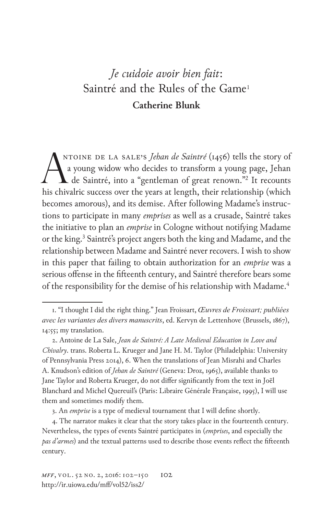## *Je cuidoie avoir bien fait*: Saintré and the Rules of the Game<sup>1</sup> **Catherine Blunk**

ANTOINE DE LA SALE'S *Jehan de Saintré* (1456) tells the story of a young widow who decides to transform a young page, Jehan de Saintré, into a "gentleman of great renown."<sup>2</sup> It recounts his chivalric success over the yea ntoine de La Sale's *Jehan de Saintré* (1456) tells the story of a young widow who decides to transform a young page, Jehan de Saintré, into a "gentleman of great renown."2 It recounts becomes amorous), and its demise. After following Madame's instructions to participate in many *emprises* as well as a crusade, Saintré takes the initiative to plan an *emprise* in Cologne without notifying Madame or the king.<sup>3</sup> Saintré's project angers both the king and Madame, and the relationship between Madame and Saintré never recovers. I wish to show in this paper that failing to obtain authorization for an *emprise* was a serious offense in the fifteenth century, and Saintré therefore bears some of the responsibility for the demise of his relationship with Madame.<sup>4</sup>

<sup>1. &</sup>quot;I thought I did the right thing." Jean Froissart, *Œuvres de Froissart; publiées avec les variantes des divers manuscrits*, ed. Kervyn de Lettenhove (Brussels, 1867), 14:55; my translation.

<sup>2.</sup> Antoine de La Sale, *Jean de Saintré: A Late Medieval Education in Love and Chivalry*. trans. Roberta L. Krueger and Jane H. M. Taylor (Philadelphia: University of Pennsylvania Press 2014), 6. When the translations of Jean Misrahi and Charles A. Knudson's edition of *Jehan de Saintré* (Geneva: Droz, 1965), available thanks to Jane Taylor and Roberta Krueger, do not differ significantly from the text in Joël Blanchard and Michel Quereuil's (Paris: Libraire Générale Française, 1995), I will use them and sometimes modify them.

<sup>3.</sup> An *emprise* is a type of medieval tournament that I will define shortly.

<sup>4.</sup> The narrator makes it clear that the story takes place in the fourteenth century. Nevertheless, the types of events Saintré participates in (*emprises*, and especially the *pas d'armes*) and the textual patterns used to describe those events reflect the fifteenth century.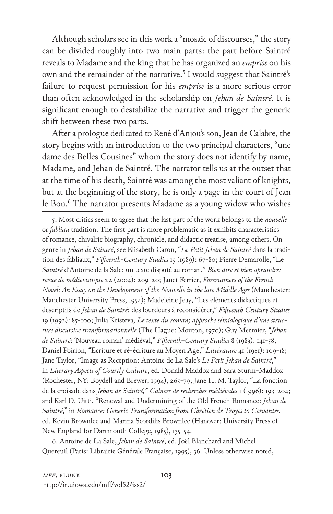Although scholars see in this work a "mosaic of discourses," the story can be divided roughly into two main parts: the part before Saintré reveals to Madame and the king that he has organized an *emprise* on his own and the remainder of the narrative.<sup>5</sup> I would suggest that Saintré's failure to request permission for his *emprise* is a more serious error than often acknowledged in the scholarship on *Jehan de Saintré*. It is significant enough to destabilize the narrative and trigger the generic shift between these two parts.

After a prologue dedicated to René d'Anjou's son, Jean de Calabre, the story begins with an introduction to the two principal characters, "une dame des Belles Cousines" whom the story does not identify by name, Madame, and Jehan de Saintré. The narrator tells us at the outset that at the time of his death, Saintré was among the most valiant of knights, but at the beginning of the story, he is only a page in the court of Jean le Bon.<sup>6</sup> The narrator presents Madame as a young widow who wishes

6. Antoine de La Sale, *Jehan de Saintré*, ed. Joël Blanchard and Michel Quereuil (Paris: Librairie Générale Française, 1995), 36. Unless otherwise noted,

<sup>5.</sup> Most critics seem to agree that the last part of the work belongs to the *nouvelle* or *fabliau* tradition. The first part is more problematic as it exhibits characteristics of romance, chivalric biography, chronicle, and didactic treatise, among others. On genre in *Jehan de Saintré*, see Elisabeth Caron, "*Le Petit Jehan de Saintré* dans la tradition des fabliaux," *Fifteenth-Century Studies* 15 (1989): 67-80; Pierre Demarolle, "Le *Saintré* d'Antoine de la Sale: un texte disputé au roman," *Bien dire et bien aprandre: revue de médievistique* 22 (2004): 209-20; Janet Ferrier, *Forerunners of the French Novel: An Essay on the Development of the Nouvelle in the late Middle Ages* (Manchester: Manchester University Press, 1954); Madeleine Jeay, "Les éléments didactiques et descriptifs de *Jehan de Saintré*: des lourdeurs à reconsidérer," *Fifteenth Century Studies* 19 (1992): 85-100; Julia Kristeva, *Le texte du roman; approche sémiologique d'une structure discursive transformationnelle* (The Hague: Mouton, 1970); Guy Mermier, "*Jehan de Saintré*: 'Nouveau roman' médiéval," *Fifteenth-Century Studies* 8 (1983): 141-58; Daniel Poirion, "Ecriture et ré-écriture au Moyen Age," *Littérature* 41 (1981): 109-18; Jane Taylor, "Image as Reception: Antoine de La Sale's *Le Petit Jehan de Saintré*," in *Literary Aspects of Courtly Culture*, ed. Donald Maddox and Sara Sturm-Maddox (Rochester, NY: Boydell and Brewer, 1994), 265-79; Jane H. M. Taylor, "La fonction de la croisade dans *Jehan de Saintré," Cahiers de recherches médiévales* 1 (1996): 193-204; and Karl D. Uitti, "Renewal and Undermining of the Old French Romance: *Jehan de Saintré*," in *Romance: Generic Transformation from Chrétien de Troyes to Cervantes*, ed. Kevin Brownlee and Marina Scordilis Brownlee (Hanover: University Press of New England for Dartmouth College, 1985), 135-54.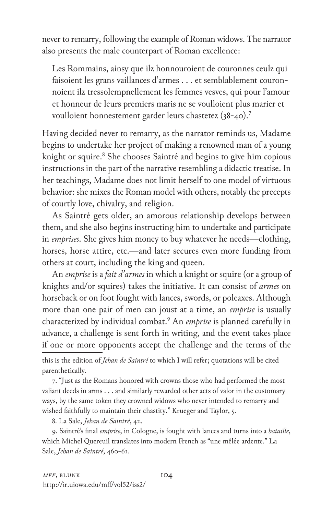never to remarry, following the example of Roman widows. The narrator also presents the male counterpart of Roman excellence:

Les Rommains, ainsy que ilz honnouroient de couronnes ceulz qui faisoient les grans vaillances d'armes . . . et semblablement couronnoient ilz tressolempnellement les femmes vesves, qui pour l'amour et honneur de leurs premiers maris ne se voulloient plus marier et voulloient honnestement garder leurs chastetez (38-40).7

Having decided never to remarry, as the narrator reminds us, Madame begins to undertake her project of making a renowned man of a young knight or squire.<sup>8</sup> She chooses Saintré and begins to give him copious instructions in the part of the narrative resembling a didactic treatise. In her teachings, Madame does not limit herself to one model of virtuous behavior: she mixes the Roman model with others, notably the precepts of courtly love, chivalry, and religion.

As Saintré gets older, an amorous relationship develops between them, and she also begins instructing him to undertake and participate in *emprises*. She gives him money to buy whatever he needs—clothing, horses, horse attire, etc.—and later secures even more funding from others at court, including the king and queen.

An *emprise* is a *fait d'armes* in which a knight or squire (or a group of knights and/or squires) takes the initiative. It can consist of *armes* on horseback or on foot fought with lances, swords, or poleaxes. Although more than one pair of men can joust at a time, an *emprise* is usually characterized by individual combat.9 An *emprise* is planned carefully in advance, a challenge is sent forth in writing, and the event takes place if one or more opponents accept the challenge and the terms of the

this is the edition of *Jehan de Saintré* to which I will refer; quotations will be cited parenthetically.

7. "Just as the Romans honored with crowns those who had performed the most valiant deeds in arms . . . and similarly rewarded other acts of valor in the customary ways, by the same token they crowned widows who never intended to remarry and wished faithfully to maintain their chastity." Krueger and Taylor, 5.

8. La Sale, *Jehan de Saintré*, 42.

9. Saintré's final *emprise*, in Cologne, is fought with lances and turns into a *bataille*, which Michel Quereuil translates into modern French as "une mêlée ardente." La Sale, *Jehan de Saintré*, 460-61.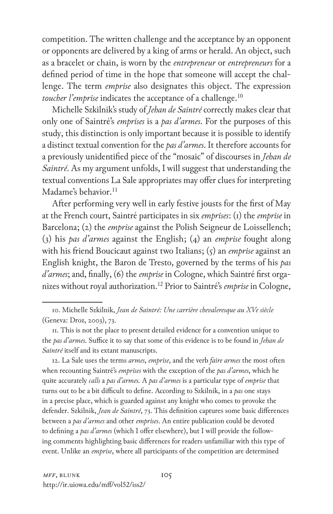competition. The written challenge and the acceptance by an opponent or opponents are delivered by a king of arms or herald. An object, such as a bracelet or chain, is worn by the *entrepreneur* or *entrepreneurs* for a defined period of time in the hope that someone will accept the challenge. The term *emprise* also designates this object. The expression *toucher l'emprise* indicates the acceptance of a challenge.<sup>10</sup>

Michelle Szkilnik's study of *Jehan de Saintré* correctly makes clear that only one of Saintré's *emprises* is a *pas d'armes*. For the purposes of this study, this distinction is only important because it is possible to identify a distinct textual convention for the *pas d'armes*. It therefore accounts for a previously unidentified piece of the "mosaic" of discourses in *Jehan de Saintré*. As my argument unfolds, I will suggest that understanding the textual conventions La Sale appropriates may offer clues for interpreting Madame's behavior.<sup>11</sup>

After performing very well in early festive jousts for the first of May at the French court, Saintré participates in six *emprises*: (1) the *emprise* in Barcelona; (2) the *emprise* against the Polish Seigneur de Loissellench; (3) his *pas d'armes* against the English; (4) an *emprise* fought along with his friend Boucicaut against two Italians; (5) an *emprise* against an English knight, the Baron de Tresto, governed by the terms of his *pas d'armes*; and, finally, (6) the *emprise* in Cologne, which Saintré first organizes without royal authorization.12 Prior to Saintré's *emprise* in Cologne,

12. La Sale uses the terms *armes*, *emprise*, and the verb *faire armes* the most often when recounting Saintré's *emprises* with the exception of the *pas d'armes*, which he quite accurately *calls* a *pas d'armes.* A *pas d'armes* is a particular type of *emprise* that turns out to be a bit difficult to define. According to Szkilnik, in a *pas* one stays in a precise place, which is guarded against any knight who comes to provoke the defender. Szkilnik, *Jean de Saintré*, 73. This definition captures some basic differences between a *pas d'armes* and other *emprises*. An entire publication could be devoted to defining a *pas d'armes* (which I offer elsewhere), but I will provide the following comments highlighting basic differences for readers unfamiliar with this type of event. Unlike an *emprise*, where all participants of the competition are determined

<sup>10.</sup> Michelle Szkilnik, *Jean de Saintré: Une carrière chevaleresque au XVe siècle* (Geneva: Droz, 2003), 73.

<sup>11.</sup> This is not the place to present detailed evidence for a convention unique to the *pas d'armes*. Suffice it to say that some of this evidence is to be found in *Jehan de Saintré* itself and its extant manuscripts.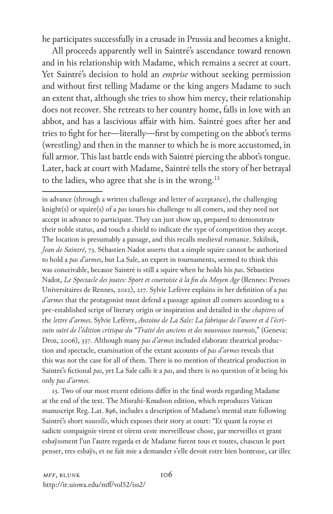he participates successfully in a crusade in Prussia and becomes a knight.

All proceeds apparently well in Saintré's ascendance toward renown and in his relationship with Madame, which remains a secret at court. Yet Saintré's decision to hold an *emprise* without seeking permission and without first telling Madame or the king angers Madame to such an extent that, although she tries to show him mercy, their relationship does not recover. She retreats to her country home, falls in love with an abbot, and has a lascivious affair with him. Saintré goes after her and tries to fight for her—literally—first by competing on the abbot's terms (wrestling) and then in the manner to which he is more accustomed, in full armor. This last battle ends with Saintré piercing the abbot's tongue. Later, back at court with Madame, Saintré tells the story of her betrayal to the ladies, who agree that she is in the wrong.<sup>13</sup>

in advance (through a written challenge and letter of acceptance), the challenging knight(s) or squire(s) of a *pas* issues his challenge to all comers, and they need not accept in advance to participate. They can just show up, prepared to demonstrate their noble status, and touch a shield to indicate the type of competition they accept. The location is presumably a passage, and this recalls medieval romance. Szkilnik, *Jean de Saintré*, 73. Sébastien Nadot asserts that a simple squire cannot be authorized to hold a *pas d'armes*, but La Sale, an expert in tournaments, seemed to think this was conceivable, because Saintré is still a squire when he holds his *pas*. Sébastien Nadot, *Le Spectacle des joutes: Sport et courtoisie à la fin du Moyen Age* (Rennes: Presses Universitaires de Rennes, 2012), 217. Sylvie Lefèvre explains in her definition of a *pas d'armes* that the protagonist must defend a passage against all comers according to a pre-established script of literary origin or inspiration and detailed in the *chapitres* of the *lettre d'armes*. Sylvie Lefèvre, *Antoine de La Sale: La fabrique de l'œuvre et d l'écrivain suivi de l'édition critique du "Traité des anciens et des nouveaux tournois*," (Geneva: Droz, 2006), 337. Although many *pas d'armes* included elaborate theatrical production and spectacle, examination of the extant accounts of *pas d'armes* reveals that this was not the case for all of them. There is no mention of theatrical production in Saintré's fictional *pas*, yet La Sale calls it a *pas*, and there is no question of it being his only *pas d'armes*.

13. Two of our most recent editions differ in the final words regarding Madame at the end of the text. The Misrahi-Knudson edition, which reproduces Vatican manuscript Reg. Lat. 896, includes a description of Madame's mental state following Saintré's short *nouvelle*, which exposes their story at court: "Et quant la royne et sadicte compaignie virent et oïrent ceste merveilleuse chose, par merveilles et grant esbaÿssment l'un l'autre regarda et de Madame furent tous et toutes, chascun le puet penser, tres esbaÿs, et ne fait mie a demander s'elle devoit estre bien honteuse, car illec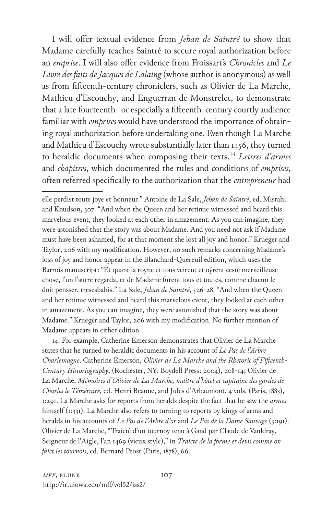I will offer textual evidence from *Jehan de Saintré* to show that Madame carefully teaches Saintré to secure royal authorization before an *emprise*. I will also offer evidence from Froissart's *Chronicles* and *Le Livre des faits de Jacques de Lalaing* (whose author is anonymous) as well as from fifteenth-century chroniclers, such as Olivier de La Marche, Mathieu d'Escouchy, and Enguerran de Monstrelet, to demonstrate that a late fourteenth- or especially a fifteenth-century courtly audience familiar with *emprises* would have understood the importance of obtaining royal authorization before undertaking one. Even though La Marche and Mathieu d'Escouchy wrote substantially later than 1456, they turned to heraldic documents when composing their texts.14 *Lettres d'armes* and *chapitres*, which documented the rules and conditions of *emprises*, often referred specifically to the authorization that the *entrepreneur* had

14. For example, Catherine Emerson demonstrates that Olivier de La Marche states that he turned to heraldic documents in his account of *Le Pas de l'Arbre Charlemagne*. Catherine Emerson, *Olivier de La Marche and the Rhetoric of Fifteenth-Century Historiography*, (Rochester, NY: Boydell Press: 2004), 208-14; Olivier de La Marche, *Mémoires d'Olivier de La Marche, maître d'hôtel et capitaine des gardes de Charles le Téméraire*, ed. Henri Beaune, and Jules d'Arbaumont, 4 vols. (Paris, 1883), 1:291. La Marche asks for reports from heralds despite the fact that he saw the *armes* himself (1:331). La Marche also refers to turning to reports by kings of arms and heralds in his accounts of *Le Pas de l'Arbre d'or* and *Le Pas de la Dame Sauvage* (3:191). Olivier de La Marche, "Traicté d'un tournoy tenu à Gand par Claude de Vauldray, Seigneur de l'Aigle, l'an 1469 (vieux style)," in *Traicte de la forme et devis comme on faict les tournois*, ed. Bernard Prost (Paris, 1878), 66.

elle perdist toute joye et honneur." Antoine de La Sale, *Jehan de Saintré*, ed. Misrahi and Knudson, 307. "And when the Queen and her retinue witnessed and heard this marvelous event, they looked at each other in amazement. As you can imagine, they were astonished that the story was about Madame. And you need not ask if Madame must have been ashamed, for at that moment she lost all joy and honor." Krueger and Taylor, 206 with my modification. However, no such remarks concerning Madame's loss of joy and honor appear in the Blanchard-Quereuil edition, which uses the Barrois manuscript: "Et quant la royne et tous veirent et oÿrent ceste merveilleuse chose, l'un l'autre regarda, et de Madame furent tous et toutes, comme chacun le doit pensser, tresesbahis." La Sale, *Jehan de Saintré*, 526-28. "And when the Queen and her retinue witnessed and heard this marvelous event, they looked at each other in amazement. As you can imagine, they were astonished that the story was about Madame." Krueger and Taylor, 206 with my modification. No further mention of Madame appears in either edition.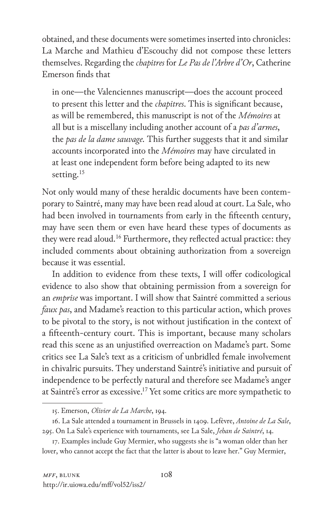obtained, and these documents were sometimes inserted into chronicles: La Marche and Mathieu d'Escouchy did not compose these letters themselves. Regarding the *chapitres* for *Le Pas de l'Arbre d'Or*, Catherine Emerson finds that

in one—the Valenciennes manuscript—does the account proceed to present this letter and the *chapitres*. This is significant because, as will be remembered, this manuscript is not of the *Mémoires* at all but is a miscellany including another account of a *pas d'armes*, the *pas de la dame sauvage.* This further suggests that it and similar accounts incorporated into the *Mémoires* may have circulated in at least one independent form before being adapted to its new setting.<sup>15</sup>

Not only would many of these heraldic documents have been contemporary to Saintré, many may have been read aloud at court. La Sale, who had been involved in tournaments from early in the fifteenth century, may have seen them or even have heard these types of documents as they were read aloud.<sup>16</sup> Furthermore, they reflected actual practice: they included comments about obtaining authorization from a sovereign because it was essential.

In addition to evidence from these texts, I will offer codicological evidence to also show that obtaining permission from a sovereign for an *emprise* was important. I will show that Saintré committed a serious *faux pas*, and Madame's reaction to this particular action, which proves to be pivotal to the story, is not without justification in the context of a fifteenth-century court. This is important, because many scholars read this scene as an unjustified overreaction on Madame's part. Some critics see La Sale's text as a criticism of unbridled female involvement in chivalric pursuits. They understand Saintré's initiative and pursuit of independence to be perfectly natural and therefore see Madame's anger at Saintré's error as excessive.17 Yet some critics are more sympathetic to

<sup>15.</sup> Emerson, *Olivier de La Marche*, 194.

<sup>16.</sup> La Sale attended a tournament in Brussels in 1409. Lefèvre, *Antoine de La Sale*, 295. On La Sale's experience with tournaments, see La Sale, *Jehan de Saintré*, 14.

<sup>17.</sup> Examples include Guy Mermier, who suggests she is "a woman older than her lover, who cannot accept the fact that the latter is about to leave her." Guy Mermier,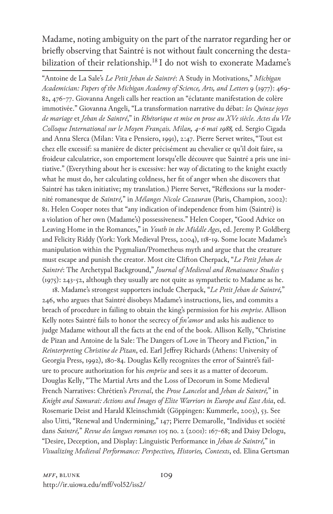Madame, noting ambiguity on the part of the narrator regarding her or briefly observing that Saintré is not without fault concerning the destabilization of their relationship.<sup>18</sup> I do not wish to exonerate Madame's

"Antoine de La Sale's *Le Petit Jehan de Saintré*: A Study in Motivations," *Michigan Academician: Papers of the Michigan Academy of Science, Arts, and Letters* 9 (1977): 469- 82, 476-77. Giovanna Angeli calls her reaction an "éclatante manifestation de colère immotivée." Giovanna Angeli, "La transformation narrative du débat: *les Quinze joyes de mariage* et *Jehan de Saintré*," in *Rhétorique et mise en prose au XVe siècle. Actes du VIe Colloque International sur le Moyen Français. Milan, 4-6 mai 1988,* ed. Sergio Cigada and Anna Slerca (Milan: Vita e Pensiero, 1991), 2:47. Pierre Servet writes, "Tout est chez elle excessif: sa manière de dicter précisément au chevalier ce qu'il doit faire, sa froideur calculatrice, son emportement lorsqu'elle découvre que Saintré a pris une initiative." (Everything about her is excessive: her way of dictating to the knight exactly what he must do, her calculating coldness, her fit of anger when she discovers that Saintré has taken initiative; my translation.) Pierre Servet, "Réflexions sur la modernité romanesque de *Saintré,*" in *Mélanges Nicole Cazauran* (Paris, Champion, 2002): 81. Helen Cooper notes that "any indication of independence from him (Saintré) is a violation of her own (Madame's) possessiveness." Helen Cooper, "Good Advice on Leaving Home in the Romances," in *Youth in the Middle Ages*, ed. Jeremy P. Goldberg and Felicity Riddy (York: York Medieval Press, 2004), 118-19. Some locate Madame's manipulation within the Pygmalian/Prometheus myth and argue that the creature must escape and punish the creator. Most cite Clifton Cherpack, "*Le Petit Jehan de Saintré*: The Archetypal Background," *Journal of Medieval and Renaissance Studies* 5 (1975): 243-52, although they usually are not quite as sympathetic to Madame as he.

18. Madame's strongest supporters include Cherpack, "*Le Petit Jehan de Saintré,*" 246, who argues that Saintré disobeys Madame's instructions, lies, and commits a breach of procedure in failing to obtain the king's permission for his *emprise*. Allison Kelly notes Saintré fails to honor the secrecy of *fin'amor* and asks his audience to judge Madame without all the facts at the end of the book. Allison Kelly, "Christine de Pizan and Antoine de la Sale: The Dangers of Love in Theory and Fiction," in *Reinterpreting Christine de Pizan*, ed. Earl Jeffrey Richards (Athens: University of Georgia Press, 1992), 180-84. Douglas Kelly recognizes the error of Saintré's failure to procure authorization for his *emprise* and sees it as a matter of decorum. Douglas Kelly, "The Martial Arts and the Loss of Decorum in Some Medieval French Narratives: Chrétien's *Perceval*, the *Prose Lancelot* and *Jehan de Saintré,*" in *Knight and Samurai: Actions and Images of Elite Warriors in Europe and East Asia*, ed. Rosemarie Deist and Harald Kleinschmidt (Göppingen: Kummerle, 2003), 53. See also Uitti, "Renewal and Undermining," 147; Pierre Demarolle, "Individus et société dans *Saintré,*" *Revue des langues romanes* 105 no. 2 (2001): 167-68; and Daisy Delogu, "Desire, Deception, and Display: Linguistic Performance in *Jehan de Saintré,*" in *Visualizing Medieval Performance: Perspectives, Histories, Contexts*, ed. Elina Gertsman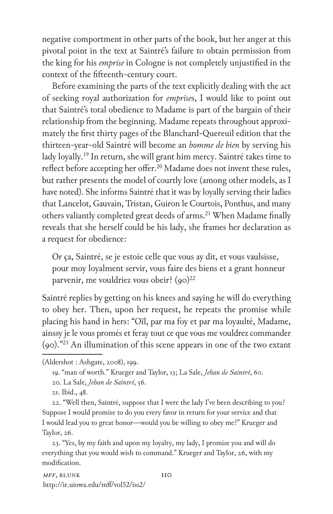negative comportment in other parts of the book, but her anger at this pivotal point in the text at Saintré's failure to obtain permission from the king for his *emprise* in Cologne is not completely unjustified in the context of the fifteenth-century court.

Before examining the parts of the text explicitly dealing with the act of seeking royal authorization for *emprise*s, I would like to point out that Saintré's total obedience to Madame is part of the bargain of their relationship from the beginning. Madame repeats throughout approximately the first thirty pages of the Blanchard-Quereuil edition that the thirteen-year-old Saintré will become an *homme de bien* by serving his lady loyally.19 In return, she will grant him mercy. Saintré takes time to reflect before accepting her offer.<sup>20</sup> Madame does not invent these rules, but rather presents the model of courtly love (among other models, as I have noted). She informs Saintré that it was by loyally serving their ladies that Lancelot, Gauvain, Tristan, Guiron le Courtois, Ponthus, and many others valiantly completed great deeds of arms.<sup>21</sup> When Madame finally reveals that she herself could be his lady, she frames her declaration as a request for obedience:

Or ça, Saintré, se je estoie celle que vous ay dit, et vous vaulsisse, pour moy loyalment servir, vous faire des biens et a grant honneur parvenir, me vouldriez vous obeir?  $(qo)^{22}$ 

Saintré replies by getting on his knees and saying he will do everything to obey her. Then, upon her request, he repeats the promise while placing his hand in hers: "Oïl, par ma foy et par ma loyaulté, Madame, ainssy je le vous promés et feray tout ce que vous me vouldrez commander (90)."23 An illumination of this scene appears in one of the two extant

22. "Well then, Saintré, suppose that I were the lady I've been describing to you? Suppose I would promise to do you every favor in return for your service and that I would lead you to great honor—would you be willing to obey me?" Krueger and Taylor, 26.

23. "Yes, by my faith and upon my loyalty, my lady, I promise you and will do everything that you would wish to command." Krueger and Taylor, 26, with my modification.

<sup>(</sup>Aldershot : Ashgate, 2008), 199.

<sup>19. &</sup>quot;man of worth." Krueger and Taylor, 13; La Sale, *Jehan de Saintré*, 60.

<sup>20.</sup> La Sale, *Jehan de Saintré*, 56.

<sup>21.</sup> Ibid., 48.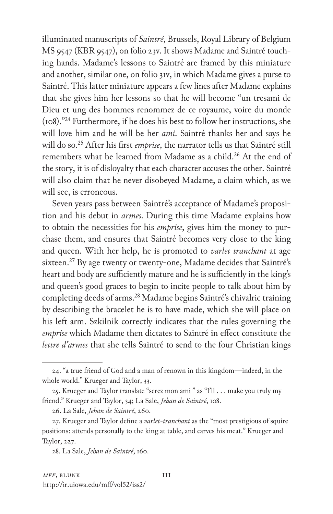illuminated manuscripts of *Saintré*, Brussels, Royal Library of Belgium MS 9547 (KBR 9547), on folio 23v. It shows Madame and Saintré touching hands. Madame's lessons to Saintré are framed by this miniature and another, similar one, on folio 31v, in which Madame gives a purse to Saintré. This latter miniature appears a few lines after Madame explains that she gives him her lessons so that he will become "un tresami de Dieu et ung des hommes renommez de ce royaume, voire du monde (108)."24 Furthermore, if he does his best to follow her instructions, she will love him and he will be her *ami*. Saintré thanks her and says he will do so.25 After his first *emprise*, the narrator tells us that Saintré still remembers what he learned from Madame as a child.<sup>26</sup> At the end of the story, it is of disloyalty that each character accuses the other. Saintré will also claim that he never disobeyed Madame, a claim which, as we will see, is erroneous.

Seven years pass between Saintré's acceptance of Madame's proposition and his debut in *armes*. During this time Madame explains how to obtain the necessities for his *emprise*, gives him the money to purchase them, and ensures that Saintré becomes very close to the king and queen. With her help, he is promoted to *varlet tranchant* at age sixteen.<sup>27</sup> By age twenty or twenty-one, Madame decides that Saintré's heart and body are sufficiently mature and he is sufficiently in the king's and queen's good graces to begin to incite people to talk about him by completing deeds of arms.<sup>28</sup> Madame begins Saintré's chivalric training by describing the bracelet he is to have made, which she will place on his left arm. Szkilnik correctly indicates that the rules governing the *emprise* which Madame then dictates to Saintré in effect constitute the *lettre d'armes* that she tells Saintré to send to the four Christian kings

<sup>24. &</sup>quot;a true friend of God and a man of renown in this kingdom—indeed, in the whole world." Krueger and Taylor, 33.

<sup>25.</sup> Krueger and Taylor translate "serez mon ami " as "I'll . . . make you truly my friend." Krueger and Taylor, 34; La Sale, *Jehan de Saintré*, 108.

<sup>26.</sup> La Sale, *Jehan de Saintré*, 260.

<sup>27.</sup> Krueger and Taylor define a *varlet-tranchant* as the "most prestigious of squire positions: attends personally to the king at table, and carves his meat." Krueger and Taylor, 227.

<sup>28.</sup> La Sale, *Jehan de Saintré*, 160.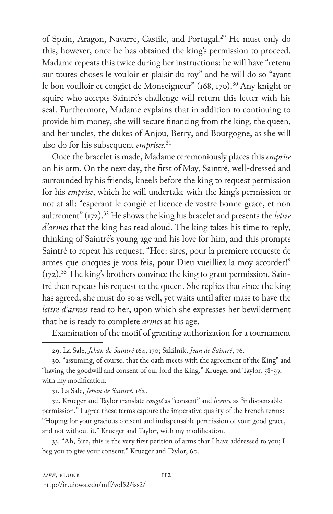of Spain, Aragon, Navarre, Castile, and Portugal.<sup>29</sup> He must only do this, however, once he has obtained the king's permission to proceed. Madame repeats this twice during her instructions: he will have "retenu sur toutes choses le vouloir et plaisir du roy" and he will do so "ayant le bon voulloir et congiet de Monseigneur" (168, 170).<sup>30</sup> Any knight or squire who accepts Saintré's challenge will return this letter with his seal. Furthermore, Madame explains that in addition to continuing to provide him money, she will secure financing from the king, the queen, and her uncles, the dukes of Anjou, Berry, and Bourgogne, as she will also do for his subsequent *emprises*. 31

Once the bracelet is made, Madame ceremoniously places this *emprise* on his arm. On the next day, the first of May, Saintré, well-dressed and surrounded by his friends, kneels before the king to request permission for his *emprise*, which he will undertake with the king's permission or not at all: "esperant le congié et licence de vostre bonne grace, et non aultrement" (172).32 He shows the king his bracelet and presents the *lettre d'armes* that the king has read aloud. The king takes his time to reply, thinking of Saintré's young age and his love for him, and this prompts Saintré to repeat his request, "Hee: sires, pour la premiere requeste de armes que oncques je vous feis, pour Dieu vueilliez la moy accorder!"  $(\text{I72})$ .<sup>33</sup> The king's brothers convince the king to grant permission. Saintré then repeats his request to the queen. She replies that since the king has agreed, she must do so as well, yet waits until after mass to have the *lettre d'armes* read to her, upon which she expresses her bewilderment that he is ready to complete *armes* at his age.

Examination of the motif of granting authorization for a tournament

30. "assuming, of course, that the oath meets with the agreement of the King" and "having the goodwill and consent of our lord the King." Krueger and Taylor, 58-59, with my modification.

31. La Sale, *Jehan de Saintré*, 162.

32. Krueger and Taylor translate *congié* as "consent" and *licence* as "indispensable permission." I agree these terms capture the imperative quality of the French terms: "Hoping for your gracious consent and indispensable permission of your good grace, and not without it." Krueger and Taylor, with my modification.

33. "Ah, Sire, this is the very first petition of arms that I have addressed to you; I beg you to give your consent." Krueger and Taylor, 60.

<sup>29.</sup> La Sale, *Jehan de Saintré* 164, 170; Szkilnik, *Jean de Saintré*, 76.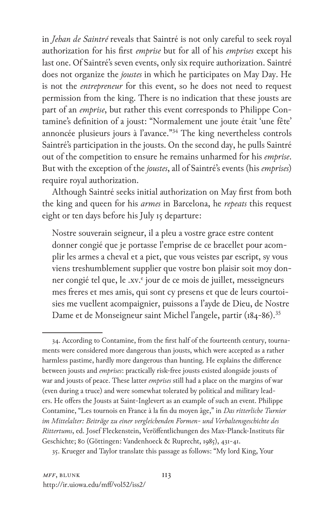in *Jehan de Saintré* reveals that Saintré is not only careful to seek royal authorization for his first *emprise* but for all of his *emprises* except his last one. Of Saintré's seven events, only six require authorization. Saintré does not organize the *joustes* in which he participates on May Day. He is not the *entrepreneur* for this event, so he does not need to request permission from the king. There is no indication that these jousts are part of an *emprise*, but rather this event corresponds to Philippe Contamine's definition of a joust: "Normalement une joute était 'une fête' annoncée plusieurs jours à l'avance."<sup>34</sup> The king nevertheless controls Saintré's participation in the jousts. On the second day, he pulls Saintré out of the competition to ensure he remains unharmed for his *emprise*. But with the exception of the *joustes*, all of Saintré's events (his *emprises*) require royal authorization.

Although Saintré seeks initial authorization on May first from both the king and queen for his *armes* in Barcelona, he *repeats* this request eight or ten days before his July 15 departure:

Nostre souverain seigneur, il a pleu a vostre grace estre content donner congié que je portasse l'emprise de ce bracellet pour acomplir les armes a cheval et a piet, que vous veistes par escript, sy vous viens treshumblement supplier que vostre bon plaisir soit moy donner congié tel que, le .xv.<sup>e</sup> jour de ce mois de juillet, messeigneurs mes freres et mes amis, qui sont cy presens et que de leurs courtoisies me vuellent acompaignier, puissons a l'ayde de Dieu, de Nostre Dame et de Monseigneur saint Michel l'angele, partir (184-86).<sup>35</sup>

35. Krueger and Taylor translate this passage as follows: "My lord King, Your

<sup>34.</sup> According to Contamine, from the first half of the fourteenth century, tournaments were considered more dangerous than jousts, which were accepted as a rather harmless pastime, hardly more dangerous than hunting. He explains the difference between jousts and *emprises*: practically risk-free jousts existed alongside jousts of war and jousts of peace. These latter *emprises* still had a place on the margins of war (even during a truce) and were somewhat tolerated by political and military leaders. He offers the Jousts at Saint-Inglevert as an example of such an event. Philippe Contamine, "Les tournois en France à la fin du moyen âge," in *Das ritterliche Turnier im Mittelalter: Beiträge zu einer vergleichenden Formen- und Verhaltensgeschichte des Rittertums*, ed. Josef Fleckenstein, Veröffentlichungen des Max-Planck-Instituts für Geschichte; 80 (Göttingen: Vandenhoeck & Ruprecht, 1985), 431-41.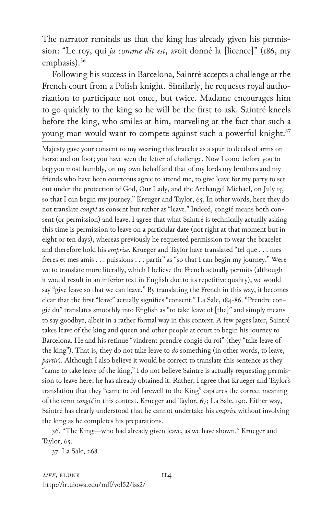The narrator reminds us that the king has already given his permission: "Le roy, qui *ja comme dit est*, avoit donné la [licence]" (186, my emphasis).<sup>36</sup>

Following his success in Barcelona, Saintré accepts a challenge at the French court from a Polish knight. Similarly, he requests royal authorization to participate not once, but twice. Madame encourages him to go quickly to the king so he will be the first to ask. Saintré kneels before the king, who smiles at him, marveling at the fact that such a young man would want to compete against such a powerful knight.<sup>37</sup>

Majesty gave your consent to my wearing this bracelet as a spur to deeds of arms on horse and on foot; you have seen the letter of challenge. Now I come before you to beg you most humbly, on my own behalf and that of my lords my brothers and my friends who have been courteous agree to attend me, to give leave for my party to set out under the protection of God, Our Lady, and the Archangel Michael, on July 15, so that I can begin my journey." Kreuger and Taylor, 65. In other words, here they do not translate *congié* as consent but rather as "leave." Indeed, congié means both consent (or permission) and leave. I agree that what Saintré is technically actually asking this time is permission to leave on a particular date (not right at that moment but in eight or ten days), whereas previously he requested permission to wear the bracelet and therefore hold his *emprise*. Krueger and Taylor have translated "tel que . . . mes freres et mes amis . . . puissions . . . partir" as "so that I can begin my journey." Were we to translate more literally, which I believe the French actually permits (although it would result in an inferior text in English due to its repetitive quality), we would say "give leave so that we can leave." By translating the French in this way, it becomes clear that the first "leave" actually signifies "consent." La Sale, 184-86. "Prendre congié du" translates smoothly into English as "to take leave of [the]" and simply means to say goodbye, albeit in a rather formal way in this context. A few pages later, Saintré takes leave of the king and queen and other people at court to begin his journey to Barcelona. He and his retinue "vindrent prendre congié du roi" (they "take leave of the king"). That is, they do not take leave to *do* something (in other words, to leave, *partir*). Although I also believe it would be correct to translate this sentence as they "came to take leave of the king," I do not believe Saintré is actually requesting permission to leave here; he has already obtained it. Rather, I agree that Krueger and Taylor's translation that they "came to bid farewell to the King" captures the correct meaning of the term *congié* in this context. Krueger and Taylor, 67; La Sale, 190. Either way, Saintré has clearly understood that he cannot undertake his *emprise* without involving the king as he completes his preparations.

36. "The King—who had already given leave, as we have shown." Krueger and Taylor, 65.

37. La Sale, 268.

*MFF*, BLUNK 114 http://ir.uiowa.edu/mff/vol52/iss2/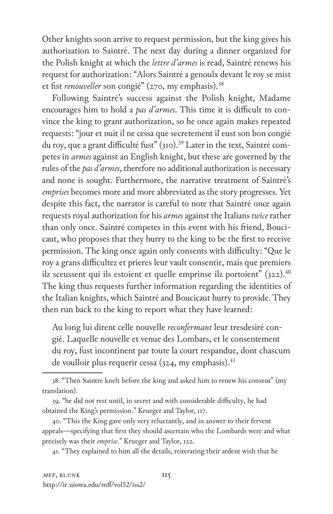Other knights soon arrive to request permission, but the king gives his authorization to Saintré. The next day during a dinner organized for the Polish knight at which the *lettre d'armes* is read, Saintré renews his request for authorization: "Alors Saintré a genoulx devant le roy se mist et fist *renouveller* son congié" (270, my emphasis).<sup>38</sup>

Following Saintré's success against the Polish knight, Madame encourages him to hold a *pas d'armes*. This time it is difficult to convince the king to grant authorization, so he once again makes repeated requests: "jour et nuit il ne cessa que secretement il eust son bon congié du roy, que a grant difficulté fust" (310).<sup>39</sup> Later in the text, Saintré competes in *armes* against an English knight, but these are governed by the rules of the *pas d'armes*, therefore no additional authorization is necessary and none is sought. Furthermore, the narrative treatment of Saintré's *emprises* becomes more and more abbreviated as the story progresses. Yet despite this fact, the narrator is careful to note that Saintré once again requests royal authorization for his *armes* against the Italians *twice* rather than only once. Saintré competes in this event with his friend, Boucicaut, who proposes that they hurry to the king to be the first to receive permission. The king once again only consents with difficulty: "Que le roy a grans difficultez et prieres leur vault consentir, mais que premiers ilz sceussent qui ils estoient et quelle emprinse ilz portoient"  $(322)^{40}$ The king thus requests further information regarding the identities of the Italian knights, which Saintré and Boucicaut hurry to provide. They then run back to the king to report what they have learned:

Au long lui dirent celle nouvelle *reconfermant* leur tresdesiré congié. Laquelle nouvelle et venue des Lombars, et le consentement du roy, fust incontinent par toute la court respandue, dont chascum de voulloir plus requerir cessa (324, my emphasis). $41$ 

41. "They explained to him all the details, reiterating their ardent wish that he

<sup>38. &</sup>quot;Then Saintre knelt before the king and asked him to renew his consent" (my translation).

<sup>39. &</sup>quot;he did not rest until, in secret and with considerable difficulty, he had obtained the King's permission." Krueger and Taylor, 117.

<sup>40. &</sup>quot;This the King gave only very reluctantly, and in answer to their fervent appeals—specifying that first they should ascertain who the Lombards were and what precisely was their *emprise*." Krueger and Taylor, 122.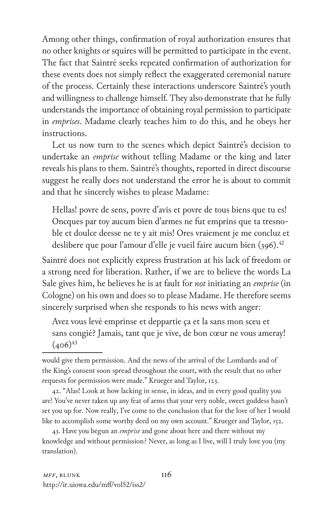Among other things, confirmation of royal authorization ensures that no other knights or squires will be permitted to participate in the event. The fact that Saintré seeks repeated confirmation of authorization for these events does not simply reflect the exaggerated ceremonial nature of the process. Certainly these interactions underscore Saintré's youth and willingness to challenge himself. They also demonstrate that he fully understands the importance of obtaining royal permission to participate in *emprises*. Madame clearly teaches him to do this, and he obeys her instructions.

Let us now turn to the scenes which depict Saintré's decision to undertake an *emprise* without telling Madame or the king and later reveals his plans to them. Saintré's thoughts, reported in direct discourse suggest he really does not understand the error he is about to commit and that he sincerely wishes to please Madame:

Hellas! povre de sens, povre d'avis et povre de tous biens que tu es! Oncques par toy aucum bien d'armes ne fut emprins que ta tresnoble et doulce deesse ne te y ait mis! Ores vraiement je me concluz et deslibere que pour l'amour d'elle je vueil faire aucum bien (396).<sup>42</sup>

Saintré does not explicitly express frustration at his lack of freedom or a strong need for liberation. Rather, if we are to believe the words La Sale gives him, he believes he is at fault for *not* initiating an *emprise* (in Cologne) on his own and does so to please Madame. He therefore seems sincerely surprised when she responds to his news with anger:

Avez vous levé emprinse et deppartie ça et la sans mon sceu et sans congié? Jamais, tant que je vive, de bon cœur ne vous ameray!  $(406)^{43}$ 

42. "Alas! Look at how lacking in sense, in ideas, and in every good quality you are! You've never taken up any feat of arms that your very noble, sweet goddess hasn't set you up for. Now really, I've come to the conclusion that for the love of her I would like to accomplish some worthy deed on my own account." Krueger and Taylor, 152.

43. Have you begun an *emprise* and gone about here and there without my knowledge and without permission? Never, as long as I live, will I truly love you (my translation).

would give them permission. And the news of the arrival of the Lombards and of the King's consent soon spread throughout the court, with the result that no other requests for permission were made." Krueger and Taylor, 123.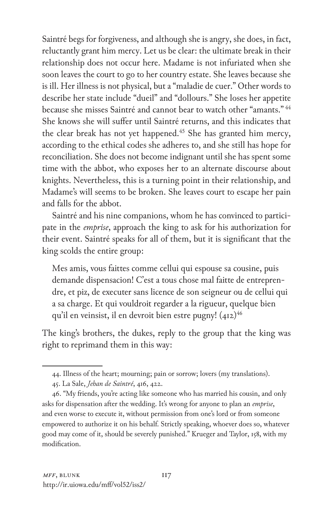Saintré begs for forgiveness, and although she is angry, she does, in fact, reluctantly grant him mercy. Let us be clear: the ultimate break in their relationship does not occur here. Madame is not infuriated when she soon leaves the court to go to her country estate. She leaves because she is ill. Her illness is not physical, but a "maladie de cuer." Other words to describe her state include "dueil" and "dollours." She loses her appetite because she misses Saintré and cannot bear to watch other "amants." <sup>44</sup> She knows she will suffer until Saintré returns, and this indicates that the clear break has not yet happened.<sup>45</sup> She has granted him mercy, according to the ethical codes she adheres to, and she still has hope for reconciliation. She does not become indignant until she has spent some time with the abbot, who exposes her to an alternate discourse about knights. Nevertheless, this is a turning point in their relationship, and Madame's will seems to be broken. She leaves court to escape her pain and falls for the abbot.

Saintré and his nine companions, whom he has convinced to participate in the *emprise*, approach the king to ask for his authorization for their event. Saintré speaks for all of them, but it is significant that the king scolds the entire group:

Mes amis, vous faittes comme cellui qui espouse sa cousine, puis demande dispensacion! C'est a tous chose mal faitte de entreprendre, et piz, de executer sans licence de son seigneur ou de cellui qui a sa charge. Et qui vouldroit regarder a la rigueur, quelque bien qu'il en veinsist, il en devroit bien estre pugny!  $(412)^{46}$ 

The king's brothers, the dukes, reply to the group that the king was right to reprimand them in this way:

<sup>44.</sup> Illness of the heart; mourning; pain or sorrow; lovers (my translations).

<sup>45.</sup> La Sale, *Jehan de Saintré*, 416, 422.

<sup>46. &</sup>quot;My friends, you're acting like someone who has married his cousin, and only asks for dispensation after the wedding. It's wrong for anyone to plan an *emprise*, and even worse to execute it, without permission from one's lord or from someone empowered to authorize it on his behalf. Strictly speaking, whoever does so, whatever good may come of it, should be severely punished." Krueger and Taylor, 158, with my modification.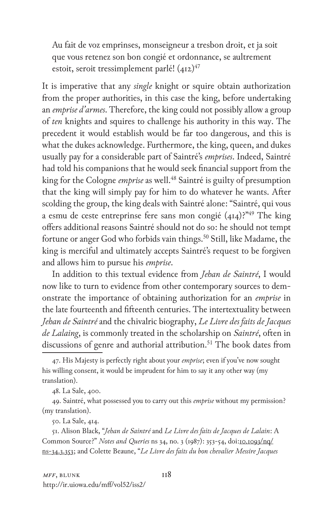Au fait de voz emprinses, monseigneur a tresbon droit, et ja soit que vous retenez son bon congié et ordonnance, se aultrement estoit, seroit tressimplement parlé!  $(412)^{47}$ 

It is imperative that any *single* knight or squire obtain authorization from the proper authorities, in this case the king, before undertaking an *emprise d'armes*. Therefore, the king could not possibly allow a group of *ten* knights and squires to challenge his authority in this way. The precedent it would establish would be far too dangerous, and this is what the dukes acknowledge. Furthermore, the king, queen, and dukes usually pay for a considerable part of Saintré's *emprises*. Indeed, Saintré had told his companions that he would seek financial support from the king for the Cologne *emprise* as well.<sup>48</sup> Saintré is guilty of presumption that the king will simply pay for him to do whatever he wants. After scolding the group, the king deals with Saintré alone: "Saintré, qui vous a esmu de ceste entreprinse fere sans mon congié  $(414)$ ?<sup>"49</sup> The king offers additional reasons Saintré should not do so: he should not tempt fortune or anger God who forbids vain things.<sup>50</sup> Still, like Madame, the king is merciful and ultimately accepts Saintré's request to be forgiven and allows him to pursue his *emprise*.

In addition to this textual evidence from *Jehan de Saintré*, I would now like to turn to evidence from other contemporary sources to demonstrate the importance of obtaining authorization for an *emprise* in the late fourteenth and fifteenth centuries. The intertextuality between *Jehan de Saintré* and the chivalric biography, *Le Livre des faits de Jacques de Lalaing*, is commonly treated in the scholarship on *Saintré*, often in discussions of genre and authorial attribution.<sup>51</sup> The book dates from

50. La Sale, 414.

51. Alison Black, "*Jehan de Saintré* and *Le Livre des faits de Jacques de Lalain*: A Common Source?" *Notes and Queries* ns 34, no. 3 (1987): 353-54, doi:10.1093/nq/ ns-34.3.353; and Colette Beaune, "*Le Livre des faits du bon chevalier Messire Jacques* 

<sup>47.</sup> His Majesty is perfectly right about your *emprise*; even if you've now sought his willing consent, it would be imprudent for him to say it any other way (my translation).

<sup>48.</sup> La Sale, 400.

<sup>49.</sup> Saintré, what possessed you to carry out this *emprise* without my permission? (my translation).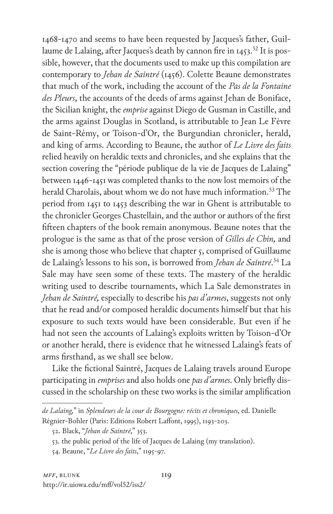1468-1470 and seems to have been requested by Jacques's father, Guillaume de Lalaing, after Jacques's death by cannon fire in  $1453$ <sup>52</sup> It is possible, however, that the documents used to make up this compilation are contemporary to *Jehan de Saintré* (1456). Colette Beaune demonstrates that much of the work, including the account of the *Pas de la Fontaine des Pleurs*, the accounts of the deeds of arms against Jehan de Boniface, the Sicilian knight, the *emprise* against Diego de Gusman in Castille, and the arms against Douglas in Scotland, is attributable to Jean Le Fèvre de Saint-Rémy, or Toison-d'Or, the Burgundian chronicler, herald, and king of arms. According to Beaune, the author of *Le Livre des faits* relied heavily on heraldic texts and chronicles, and she explains that the section covering the "période publique de la vie de Jacques de Lalaing" between 1446-1451 was completed thanks to the now lost memoirs of the herald Charolais, about whom we do not have much information.<sup>53</sup> The period from 1451 to 1453 describing the war in Ghent is attributable to the chronicler Georges Chastellain, and the author or authors of the first fifteen chapters of the book remain anonymous. Beaune notes that the prologue is the same as that of the prose version of *Gilles de Chin,* and she is among those who believe that chapter 5, comprised of Guillaume de Lalaing's lessons to his son, is borrowed from *Jehan de Saintré*. 54 La Sale may have seen some of these texts. The mastery of the heraldic writing used to describe tournaments, which La Sale demonstrates in *Jehan de Saintré,* especially to describe his *pas d'armes*, suggests not only that he read and/or composed heraldic documents himself but that his exposure to such texts would have been considerable. But even if he had not seen the accounts of Lalaing's exploits written by Toison-d'Or or another herald, there is evidence that he witnessed Lalaing's feats of arms firsthand, as we shall see below.

Like the fictional Saintré, Jacques de Lalaing travels around Europe participating in *emprises* and also holds one *pas d'armes*. Only briefly discussed in the scholarship on these two works is the similar amplification

54. Beaune, "*Le Livre des faits*," 1195-97.

*de Lalaing,*" in *Splendeurs de la cour de Bourgogne: récits et chroniques*, ed. Danielle Régnier-Bohler (Paris: Editions Robert Laffont, 1995), 1193-203.

<sup>52.</sup> Black, "*Jehan de Saintré*," 353.

<sup>53.</sup> the public period of the life of Jacques de Lalaing (my translation).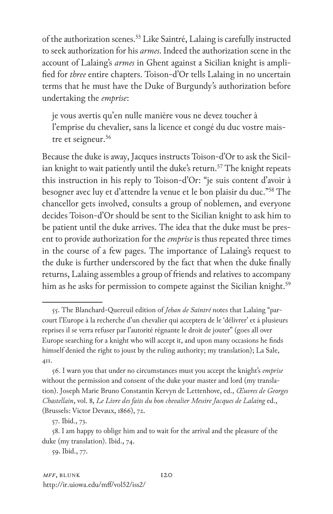of the authorization scenes.<sup>55</sup> Like Saintré, Lalaing is carefully instructed to seek authorization for his *armes*. Indeed the authorization scene in the account of Lalaing's *armes* in Ghent against a Sicilian knight is amplified for *three* entire chapters. Toison-d'Or tells Lalaing in no uncertain terms that he must have the Duke of Burgundy's authorization before undertaking the *emprise*:

je vous avertis qu'en nulle manière vous ne devez toucher à l'emprise du chevalier, sans la licence et congé du duc vostre maistre et seigneur.<sup>56</sup>

Because the duke is away, Jacques instructs Toison-d'Or to ask the Sicilian knight to wait patiently until the duke's return.<sup>57</sup> The knight repeats this instruction in his reply to Toison-d'Or: "je suis content d'avoir à besogner avec luy et d'attendre la venue et le bon plaisir du duc."58 The chancellor gets involved, consults a group of noblemen, and everyone decides Toison-d'Or should be sent to the Sicilian knight to ask him to be patient until the duke arrives. The idea that the duke must be present to provide authorization for the *emprise* is thus repeated three times in the course of a few pages. The importance of Lalaing's request to the duke is further underscored by the fact that when the duke finally returns, Lalaing assembles a group of friends and relatives to accompany him as he asks for permission to compete against the Sicilian knight.<sup>59</sup>

59. Ibid., 77.

<sup>55.</sup> The Blanchard-Quereuil edition of *Jehan de Saintré* notes that Lalaing "parcourt l'Europe à la recherche d'un chevalier qui acceptera de le 'délivrer' et à plusieurs reprises il se verra refuser par l'autorité régnante le droit de jouter" (goes all over Europe searching for a knight who will accept it, and upon many occasions he finds himself denied the right to joust by the ruling authority; my translation); La Sale, 411.

<sup>56.</sup> I warn you that under no circumstances must you accept the knight's *emprise* without the permission and consent of the duke your master and lord (my translation). Joseph Marie Bruno Constantin Kervyn de Lettenhove, ed., *Œuvres de Georges Chastellain*, vol. 8, *Le Livre des faits du bon chevalier Messire Jacques de Lalaing* ed., (Brussels: Victor Devaux, 1866), 72.

<sup>57.</sup> Ibid., 73.

<sup>58.</sup> I am happy to oblige him and to wait for the arrival and the pleasure of the duke (my translation). Ibid., 74.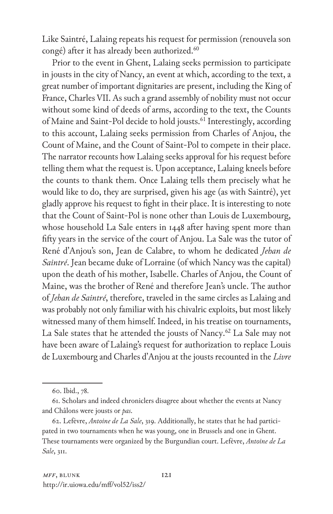Like Saintré, Lalaing repeats his request for permission (renouvela son congé) after it has already been authorized.<sup>60</sup>

Prior to the event in Ghent, Lalaing seeks permission to participate in jousts in the city of Nancy, an event at which, according to the text, a great number of important dignitaries are present, including the King of France, Charles VII. As such a grand assembly of nobility must not occur without some kind of deeds of arms, according to the text, the Counts of Maine and Saint-Pol decide to hold jousts.<sup>61</sup> Interestingly, according to this account, Lalaing seeks permission from Charles of Anjou, the Count of Maine, and the Count of Saint-Pol to compete in their place. The narrator recounts how Lalaing seeks approval for his request before telling them what the request is. Upon acceptance, Lalaing kneels before the counts to thank them. Once Lalaing tells them precisely what he would like to do, they are surprised, given his age (as with Saintré), yet gladly approve his request to fight in their place. It is interesting to note that the Count of Saint-Pol is none other than Louis de Luxembourg, whose household La Sale enters in 1448 after having spent more than fifty years in the service of the court of Anjou. La Sale was the tutor of René d'Anjou's son, Jean de Calabre, to whom he dedicated *Jehan de Saintré*. Jean became duke of Lorraine (of which Nancy was the capital) upon the death of his mother, Isabelle. Charles of Anjou, the Count of Maine, was the brother of René and therefore Jean's uncle. The author of *Jehan de Saintré*, therefore, traveled in the same circles as Lalaing and was probably not only familiar with his chivalric exploits, but most likely witnessed many of them himself. Indeed, in his treatise on tournaments, La Sale states that he attended the jousts of Nancy.<sup>62</sup> La Sale may not have been aware of Lalaing's request for authorization to replace Louis de Luxembourg and Charles d'Anjou at the jousts recounted in the *Livre* 

<sup>60.</sup> Ibid., 78.

<sup>61.</sup> Scholars and indeed chroniclers disagree about whether the events at Nancy and Châlons were jousts or *pas*.

<sup>62.</sup> Lefèvre, *Antoine de La Sale*, 319. Additionally, he states that he had participated in two tournaments when he was young, one in Brussels and one in Ghent. These tournaments were organized by the Burgundian court. Lefèvre, *Antoine de La Sale*, 311.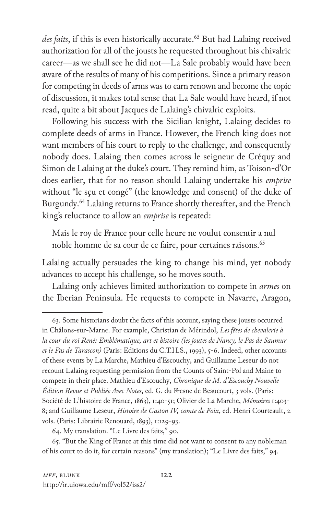des faits, if this is even historically accurate.<sup>63</sup> But had Lalaing received authorization for all of the jousts he requested throughout his chivalric career—as we shall see he did not—La Sale probably would have been aware of the results of many of his competitions. Since a primary reason for competing in deeds of arms was to earn renown and become the topic of discussion, it makes total sense that La Sale would have heard, if not read, quite a bit about Jacques de Lalaing's chivalric exploits.

Following his success with the Sicilian knight, Lalaing decides to complete deeds of arms in France. However, the French king does not want members of his court to reply to the challenge, and consequently nobody does. Lalaing then comes across le seigneur de Créquy and Simon de Lalaing at the duke's court. They remind him, as Toison-d'Or does earlier, that for no reason should Lalaing undertake his *emprise* without "le sçu et congé" (the knowledge and consent) of the duke of Burgundy.<sup>64</sup> Lalaing returns to France shortly thereafter, and the French king's reluctance to allow an *emprise* is repeated:

Mais le roy de France pour celle heure ne voulut consentir a nul noble homme de sa cour de ce faire, pour certaines raisons.<sup>65</sup>

Lalaing actually persuades the king to change his mind, yet nobody advances to accept his challenge, so he moves south.

Lalaing only achieves limited authorization to compete in *armes* on the Iberian Peninsula. He requests to compete in Navarre, Aragon,

<sup>63.</sup> Some historians doubt the facts of this account, saying these jousts occurred in Châlons-sur-Marne. For example, Christian de Mérindol, *Les fêtes de chevalerie à la cour du roi René: Emblématique, art et histoire (les joutes de Nancy, le Pas de Saumur et le Pas de Tarascon)* (Paris: Editions du C.T.H.S., 1993), 5-6. Indeed, other accounts of these events by La Marche, Mathieu d'Escouchy, and Guillaume Leseur do not recount Lalaing requesting permission from the Counts of Saint-Pol and Maine to compete in their place. Mathieu d'Escouchy, *Chronique de M. d'Escouchy Nouvelle Édition Revue et Publiée Avec Notes*, ed. G. du Fresne de Beaucourt, 3 vols. (Paris: Société de L'histoire de France, 1863), 1:40-51; Olivier de La Marche, *Mémoires* 1:403- 8; and Guillaume Leseur, *Histoire de Gaston IV, comte de Foix*, ed. Henri Courteault, 2 vols. (Paris: Librairie Renouard, 1893), 1:129-93.

<sup>64.</sup> My translation. "Le Livre des faits," 90.

<sup>65. &</sup>quot;But the King of France at this time did not want to consent to any nobleman of his court to do it, for certain reasons" (my translation); "Le Livre des faits," 94.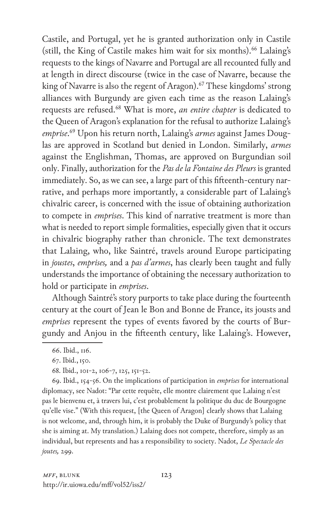Castile, and Portugal, yet he is granted authorization only in Castile (still, the King of Castile makes him wait for six months).<sup>66</sup> Lalaing's requests to the kings of Navarre and Portugal are all recounted fully and at length in direct discourse (twice in the case of Navarre, because the king of Navarre is also the regent of Aragon).<sup>67</sup> These kingdoms' strong alliances with Burgundy are given each time as the reason Lalaing's requests are refused.68 What is more, *an entire chapter* is dedicated to the Queen of Aragon's explanation for the refusal to authorize Lalaing's *emprise*. 69 Upon his return north, Lalaing's *armes* against James Douglas are approved in Scotland but denied in London. Similarly, *armes* against the Englishman, Thomas, are approved on Burgundian soil only. Finally, authorization for the *Pas de la Fontaine des Pleurs* is granted immediately. So, as we can see, a large part of this fifteenth-century narrative, and perhaps more importantly, a considerable part of Lalaing's chivalric career, is concerned with the issue of obtaining authorization to compete in *emprises*. This kind of narrative treatment is more than what is needed to report simple formalities, especially given that it occurs in chivalric biography rather than chronicle. The text demonstrates that Lalaing, who, like Saintré, travels around Europe participating in *joustes*, *emprises,* and a *pas d'armes*, has clearly been taught and fully understands the importance of obtaining the necessary authorization to hold or participate in *emprises*.

Although Saintré's story purports to take place during the fourteenth century at the court of Jean le Bon and Bonne de France, its jousts and *emprises* represent the types of events favored by the courts of Burgundy and Anjou in the fifteenth century, like Lalaing's. However,

69. Ibid., 154-56. On the implications of participation in *emprises* for international diplomacy, see Nadot: "Par cette requête, elle montre clairement que Lalaing n'est pas le bienvenu et, à travers lui, c'est probablement la politique du duc de Bourgogne qu'elle vise." (With this request, [the Queen of Aragon] clearly shows that Lalaing is not welcome, and, through him, it is probably the Duke of Burgundy's policy that she is aiming at. My translation.) Lalaing does not compete, therefore, simply as an individual, but represents and has a responsibility to society. Nadot, *Le Spectacle des joutes,* 299.

<sup>66.</sup> Ibid., 116.

<sup>67.</sup> Ibid.,150.

<sup>68.</sup> Ibid., 101-2, 106-7, 125, 151-52.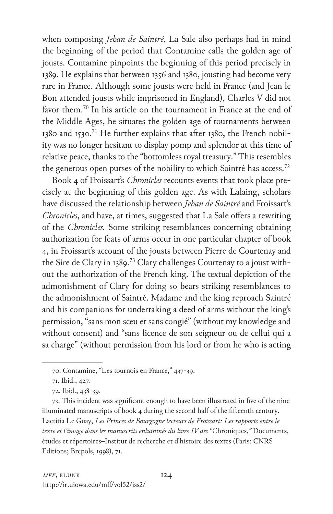when composing *Jehan de Saintré*, La Sale also perhaps had in mind the beginning of the period that Contamine calls the golden age of jousts. Contamine pinpoints the beginning of this period precisely in 1389. He explains that between 1356 and 1380, jousting had become very rare in France. Although some jousts were held in France (and Jean le Bon attended jousts while imprisoned in England), Charles V did not favor them.70 In his article on the tournament in France at the end of the Middle Ages, he situates the golden age of tournaments between 1380 and 1530.<sup>71</sup> He further explains that after 1380, the French nobility was no longer hesitant to display pomp and splendor at this time of relative peace, thanks to the "bottomless royal treasury." This resembles the generous open purses of the nobility to which Saintré has access.<sup>72</sup>

Book 4 of Froissart's *Chronicles* recounts events that took place precisely at the beginning of this golden age. As with Lalaing, scholars have discussed the relationship between *Jehan de Saintré* and Froissart's *Chronicles*, and have, at times, suggested that La Sale offers a rewriting of the *Chronicles.* Some striking resemblances concerning obtaining authorization for feats of arms occur in one particular chapter of book 4, in Froissart's account of the jousts between Pierre de Courtenay and the Sire de Clary in 1389.<sup>73</sup> Clary challenges Courtenay to a joust without the authorization of the French king. The textual depiction of the admonishment of Clary for doing so bears striking resemblances to the admonishment of Saintré. Madame and the king reproach Saintré and his companions for undertaking a deed of arms without the king's permission, "sans mon sceu et sans congié" (without my knowledge and without consent) and "sans licence de son seigneur ou de cellui qui a sa charge" (without permission from his lord or from he who is acting

<sup>70.</sup> Contamine, "Les tournois en France," 437-39.

<sup>71.</sup> Ibid., 427.

<sup>72.</sup> Ibid., 438-39.

<sup>73.</sup> This incident was significant enough to have been illustrated in five of the nine illuminated manuscripts of book 4 during the second half of the fifteenth century. Laetitia Le Guay, *Les Princes de Bourgogne lecteurs de Froissart: Les rapports entre le texte et l'image dans les manuscrits enluminés du livre IV des "*Chroniques,*"* Documents, études et répertoires–Institut de recherche et d'histoire des textes (Paris: CNRS Editions; Brepols, 1998), 71.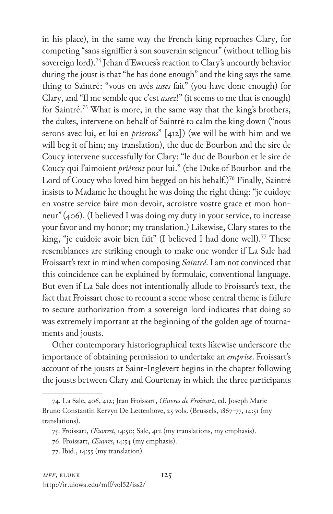in his place), in the same way the French king reproaches Clary, for competing "sans signiffier à son souverain seigneur" (without telling his sovereign lord).<sup>74</sup> Jehan d'Ewrues's reaction to Clary's uncourtly behavior during the joust is that "he has done enough" and the king says the same thing to Saintré: "vous en avés *asses* fait" (you have done enough) for Clary, and "Il me semble que c'est *assez*!" (it seems to me that is enough) for Saintré.75 What is more, in the same way that the king's brothers, the dukes, intervene on behalf of Saintré to calm the king down ("nous serons avec lui, et lui en *prierons*" [412]) (we will be with him and we will beg it of him; my translation), the duc de Bourbon and the sire de Coucy intervene successfully for Clary: "le duc de Bourbon et le sire de Coucy qui l'aimoient *prièrent* pour lui." (the Duke of Bourbon and the Lord of Coucy who loved him begged on his behalf.)<sup>76</sup> Finally, Saintré insists to Madame he thought he was doing the right thing: "je cuidoye en vostre service faire mon devoir, acroistre vostre grace et mon honneur" (406). (I believed I was doing my duty in your service, to increase your favor and my honor; my translation.) Likewise, Clary states to the king, "je cuidoie avoir bien fait" (I believed I had done well).<sup>77</sup> These resemblances are striking enough to make one wonder if La Sale had Froissart's text in mind when composing *Saintré*. I am not convinced that this coincidence can be explained by formulaic, conventional language. But even if La Sale does not intentionally allude to Froissart's text, the fact that Froissart chose to recount a scene whose central theme is failure to secure authorization from a sovereign lord indicates that doing so was extremely important at the beginning of the golden age of tournaments and jousts.

Other contemporary historiographical texts likewise underscore the importance of obtaining permission to undertake an *emprise*. Froissart's account of the jousts at Saint-Inglevert begins in the chapter following the jousts between Clary and Courtenay in which the three participants

<sup>74.</sup> La Sale, 406, 412; Jean Froissart, *Œuvres de Froissart*, ed. Joseph Marie Bruno Constantin Kervyn De Lettenhove, 25 vols. (Brussels, 1867-77, 14:51 (my translations).

<sup>75.</sup> Froissart, *Œuvrest*, 14:50; Sale, 412 (my translations, my emphasis).

<sup>76.</sup> Froissart, *Œuvres*, 14:54 (my emphasis).

<sup>77.</sup> Ibid., 14:55 (my translation).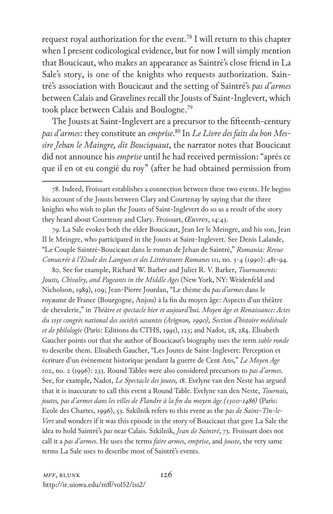request royal authorization for the event.<sup>78</sup> I will return to this chapter when I present codicological evidence, but for now I will simply mention that Boucicaut, who makes an appearance as Saintré's close friend in La Sale's story, is one of the knights who requests authorization. Saintré's association with Boucicaut and the setting of Saintré's *pas d'armes* between Calais and Gravelines recall the Jousts of Saint-Inglevert, which took place between Calais and Boulogne.79

The Jousts at Saint-Inglevert are a precursor to the fifteenth-century *pas d'armes*: they constitute an *emprise*. <sup>80</sup> In *Le Livre des faits du bon Messire Jehan le Maingre, dit Bouciquaut*, the narrator notes that Boucicaut did not announce his *emprise* until he had received permission: "aprés ce que il en ot eu congié du roy" (after he had obtained permission from

79. La Sale evokes both the elder Boucicaut, Jean Ier le Meingre, and his son, Jean II le Meingre, who participated in the Jousts at Saint-Inglevert. See Denis Lalande, "Le Couple Saintré-Boucicaut dans le roman de Jehan de Saintré," *Romania: Revue Consacrée à l'Etude des Langues et des Littératures Romanes* 111, no. 3-4 (1990): 481-94.

80. See for example, Richard W. Barber and Juliet R. V. Barker, *Tournaments: Jousts, Chivalry, and Pageants in the Middle Ages* (New York, NY: Weidenfeld and Nicholson, 1989), 109; Jean-Pierre Jourdan, "Le thème du *pas d'armes* dans le royaume de France (Bourgogne, Anjou) à la fin du moyen âge: Aspects d'un théâtre de chevalerie," in *Théâtre et spectacle hier et aujourd'hui. Moyen âge et Renaissance: Actes du 115e congrès national des sociétés savantes (Avignon, 1990), Section d'histoire médiévale et de philologie* (Paris: Editions du CTHS, 1991), 123; and Nadot, 28, 284. Elisabeth Gaucher points out that the author of Boucicaut's biography uses the term *table ronde* to describe them. Elisabeth Gaucher, "Les Joutes de Saint-Inglevert: Perception et écriture d'un événement historique pendant la guerre de Cent Ans," *Le Moyen Age* 102, no. 2 (1996): 233. Round Tables were also considered precursors to *pas d'armes*. See, for example, Nadot, *Le Spectacle des joutes,* 18. Evelyne van den Neste has argued that it is inaccurate to call this event a Round Table. Evelyne van den Neste, *Tournois, joutes, pas d'armes dans les villes de Flandre à la fin du moyen âge (1300-1486)* (Paris: Ecole des Chartes, 1996), 53. Szkilnik refers to this event as the *pas de Saint-Tin-le-Vert* and wonders if it was this episode in the story of Boucicaut that gave La Sale the idea to hold Saintré's *pas* near Calais. Szkilnik, *Jean de Saintré*, 73. Froissart does not call it a *pas d'armes*. He uses the terms *faire armes*, *emprise*, and *jouste*, the very same terms La Sale uses to describe most of Saintré's events.

<sup>78.</sup> Indeed, Froissart establishes a connection between these two events. He begins his account of the Jousts between Clary and Courtenay by saying that the three knights who wish to plan the Jousts of Saint-Inglevert do so as a result of the story they heard about Courtenay and Clary. Froissart, *Œuvres*, 14:43.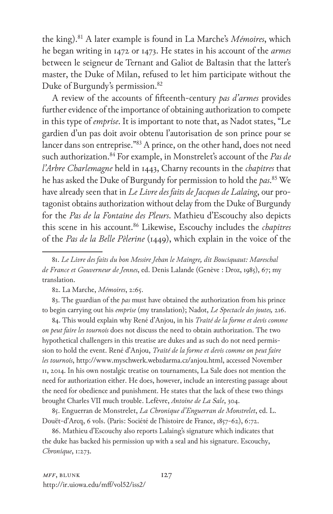the king).81 A later example is found in La Marche's *Mémoires*, which he began writing in 1472 or 1473. He states in his account of the *armes* between le seigneur de Ternant and Galiot de Baltasin that the latter's master, the Duke of Milan, refused to let him participate without the Duke of Burgundy's permission.<sup>82</sup>

A review of the accounts of fifteenth-century *pas d'armes* provides further evidence of the importance of obtaining authorization to compete in this type of *emprise*. It is important to note that, as Nadot states, "Le gardien d'un pas doit avoir obtenu l'autorisation de son prince pour se lancer dans son entreprise."83 A prince, on the other hand, does not need such authorization.<sup>84</sup> For example, in Monstrelet's account of the *Pas de l'Arbre Charlemagne* held in 1443, Charny recounts in the *chapitres* that he has asked the Duke of Burgundy for permission to hold the *pas*. 85 We have already seen that in *Le Livre des faits de Jacques de Lalaing*, our protagonist obtains authorization without delay from the Duke of Burgundy for the *Pas de la Fontaine des Pleurs*. Mathieu d'Escouchy also depicts this scene in his account.86 Likewise, Escouchy includes the *chapitres* of the *Pas de la Belle Pèlerine* (1449), which explain in the voice of the

83. The guardian of the *pas* must have obtained the authorization from his prince to begin carrying out his *emprise* (my translation); Nadot, *Le Spectacle des joutes,* 216.

84. This would explain why René d'Anjou, in his *Traité de la forme et devis comme on peut faire les tournois* does not discuss the need to obtain authorization. The two hypothetical challengers in this treatise are dukes and as such do not need permission to hold the event. René d'Anjou, *Traité de la forme et devis comme on peut faire les tournois*, http://www.myschwerk.webzdarma.cz/anjou.html, accessed November 11, 2014. In his own nostalgic treatise on tournaments, La Sale does not mention the need for authorization either. He does, however, include an interesting passage about the need for obedience and punishment. He states that the lack of these two things brought Charles VII much trouble. Lefèvre, *Antoine de La Sale*, 304.

85. Enguerran de Monstrelet, *La Chronique d'Enguerran de Monstrelet*, ed. L. Douët-d'Arcq, 6 vols. (Paris: Société de l'histoire de France, 1857-62), 6:72.

86. Mathieu d'Escouchy also reports Lalaing's signature which indicates that the duke has backed his permission up with a seal and his signature. Escouchy, *Chronique*, 1:273.

<sup>81.</sup> *Le Livre des faits du bon Messire Jehan le Maingre, dit Bouciquaut: Mareschal de France et Gouverneur de Jennes*, ed. Denis Lalande (Genève : Droz, 1985), 67; my translation.

<sup>82.</sup> La Marche, *Mémoires*, 2:65.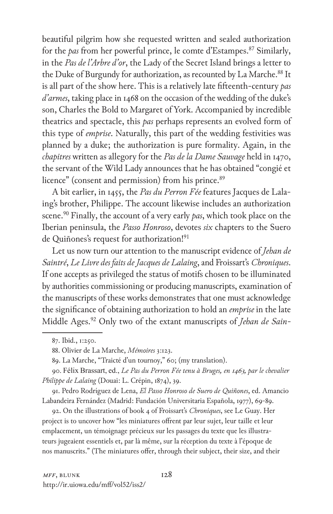beautiful pilgrim how she requested written and sealed authorization for the *pas* from her powerful prince, le comte d'Estampes.87 Similarly, in the *Pas de l'Arbre d'or*, the Lady of the Secret Island brings a letter to the Duke of Burgundy for authorization, as recounted by La Marche.<sup>88</sup> It is all part of the show here. This is a relatively late fifteenth-century *pas d'armes*, taking place in 1468 on the occasion of the wedding of the duke's son, Charles the Bold to Margaret of York. Accompanied by incredible theatrics and spectacle, this *pas* perhaps represents an evolved form of this type of *emprise*. Naturally, this part of the wedding festivities was planned by a duke; the authorization is pure formality. Again, in the *chapitres* written as allegory for the *Pas de la Dame Sauvage* held in 1470, the servant of the Wild Lady announces that he has obtained "congié et licence" (consent and permission) from his prince.<sup>89</sup>

A bit earlier, in 1455, the *Pas du Perron Fée* features Jacques de Lalaing's brother, Philippe. The account likewise includes an authorization scene.90 Finally, the account of a very early *pas*, which took place on the Iberian peninsula, the *Passo Honroso*, devotes *six* chapters to the Suero de Quiñones's request for authorization!<sup>91</sup>

Let us now turn our attention to the manuscript evidence of *Jehan de Saintré*, *Le Livre des faits de Jacques de Lalaing*, and Froissart's *Chroniques*. If one accepts as privileged the status of motifs chosen to be illuminated by authorities commissioning or producing manuscripts, examination of the manuscripts of these works demonstrates that one must acknowledge the significance of obtaining authorization to hold an *emprise* in the late Middle Ages.92 Only two of the extant manuscripts of *Jehan de Sain-*

91. Pedro Rodríguez de Lena, *El Passo Honroso de Suero de Quiñones*, ed. Amancio Labandeira Fernández (Madrid: Fundación Universitaria Española, 1977), 69-89.

92. On the illustrations of book 4 of Froissart's *Chroniques*, see Le Guay. Her project is to uncover how "les miniatures offrent par leur sujet, leur taille et leur emplacement, un témoignage précieux sur les passages du texte que les illustrateurs jugeaient essentiels et, par là même, sur la réception du texte à l'époque de nos manuscrits." (The miniatures offer, through their subject, their size, and their

<sup>87.</sup> Ibid., 1:250.

<sup>88.</sup> Olivier de La Marche, *Mémoires* 3:123.

<sup>89.</sup> La Marche, "Traicté d'un tournoy," 60; (my translation).

<sup>90</sup>. Félix Brassart, ed., *Le Pas du Perron Fée tenu à Bruges, en 1463, par le chevalier Philippe de Lalaing* (Douai: L. Crépin, 1874), 39.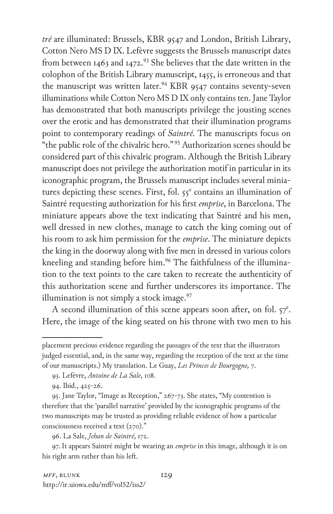*tré* are illuminated: Brussels, KBR 9547 and London, British Library, Cotton Nero MS D IX. Lefèvre suggests the Brussels manuscript dates from between 1463 and 1472.<sup>93</sup> She believes that the date written in the colophon of the British Library manuscript, 1455, is erroneous and that the manuscript was written later.<sup>94</sup> KBR 9547 contains seventy-seven illuminations while Cotton Nero MS D IX only contains ten. Jane Taylor has demonstrated that both manuscripts privilege the jousting scenes over the erotic and has demonstrated that their illumination programs point to contemporary readings of *Saintré*. The manuscripts focus on "the public role of the chivalric hero." 95 Authorization scenes should be considered part of this chivalric program. Although the British Library manuscript does not privilege the authorization motif in particular in its iconographic program, the Brussels manuscript includes several miniatures depicting these scenes. First, fol.  $55^v$  contains an illumination of Saintré requesting authorization for his first *emprise*, in Barcelona. The miniature appears above the text indicating that Saintré and his men, well dressed in new clothes, manage to catch the king coming out of his room to ask him permission for the *emprise*. The miniature depicts the king in the doorway along with five men in dressed in various colors kneeling and standing before him.<sup>96</sup> The faithfulness of the illumination to the text points to the care taken to recreate the authenticity of this authorization scene and further underscores its importance. The illumination is not simply a stock image. $97$ 

A second illumination of this scene appears soon after, on fol. 57<sup>r</sup>. Here, the image of the king seated on his throne with two men to his

96. La Sale, *Jehan de Saintré*, 172.

97.It appears Saintré might be wearing an *emprise* in this image, although it is on his right arm rather than his left.

placement precious evidence regarding the passages of the text that the illustrators judged essential, and, in the same way, regarding the reception of the text at the time of our manuscripts.) My translation. Le Guay, *Les Princes de Bourgogne,* 7.

<sup>93.</sup> Lefèvre, *Antoine de La Sale*, 108.

<sup>94.</sup> Ibid., 425-26.

<sup>95.</sup> Jane Taylor, "Image as Reception," 267-73. She states, "My contention is therefore that the 'parallel narrative' provided by the iconographic programs of the two manuscripts may be trusted as providing reliable evidence of how a particular consciousness received a text (270)."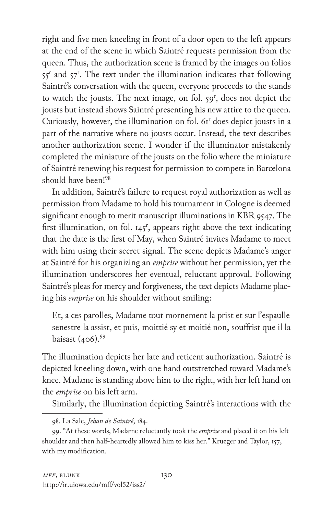right and five men kneeling in front of a door open to the left appears at the end of the scene in which Saintré requests permission from the queen. Thus, the authorization scene is framed by the images on folios 55<sup>r</sup> and 57<sup>r</sup>. The text under the illumination indicates that following Saintré's conversation with the queen, everyone proceeds to the stands to watch the jousts. The next image, on fol. 59<sup>r</sup>, does not depict the jousts but instead shows Saintré presenting his new attire to the queen. Curiously, however, the illumination on fol. 61r does depict jousts in a part of the narrative where no jousts occur. Instead, the text describes another authorization scene. I wonder if the illuminator mistakenly completed the miniature of the jousts on the folio where the miniature of Saintré renewing his request for permission to compete in Barcelona should have been!98

In addition, Saintré's failure to request royal authorization as well as permission from Madame to hold his tournament in Cologne is deemed significant enough to merit manuscript illuminations in KBR 9547. The first illumination, on fol.  $145^r$ , appears right above the text indicating that the date is the first of May, when Saintré invites Madame to meet with him using their secret signal. The scene depicts Madame's anger at Saintré for his organizing an *emprise* without her permission, yet the illumination underscores her eventual, reluctant approval. Following Saintré's pleas for mercy and forgiveness, the text depicts Madame placing his *emprise* on his shoulder without smiling:

Et, a ces parolles, Madame tout mornement la prist et sur l'espaulle senestre la assist, et puis, moittié sy et moitié non, souffrist que il la baisast (406).<sup>99</sup>

The illumination depicts her late and reticent authorization. Saintré is depicted kneeling down, with one hand outstretched toward Madame's knee. Madame is standing above him to the right, with her left hand on the *emprise* on his left arm.

Similarly, the illumination depicting Saintré's interactions with the

<sup>98.</sup> La Sale, *Jehan de Saintré*, 184.

<sup>99. &</sup>quot;At these words, Madame reluctantly took the *emprise* and placed it on his left shoulder and then half-heartedly allowed him to kiss her." Krueger and Taylor, 157, with my modification.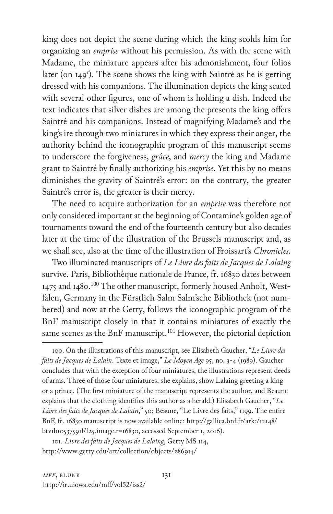king does not depict the scene during which the king scolds him for organizing an *emprise* without his permission. As with the scene with Madame, the miniature appears after his admonishment, four folios later (on 149<sup>r</sup>). The scene shows the king with Saintré as he is getting dressed with his companions. The illumination depicts the king seated with several other figures, one of whom is holding a dish. Indeed the text indicates that silver dishes are among the presents the king offers Saintré and his companions. Instead of magnifying Madame's and the king's ire through two miniatures in which they express their anger, the authority behind the iconographic program of this manuscript seems to underscore the forgiveness, *grâce*, and *mercy* the king and Madame grant to Saintré by finally authorizing his *emprise*. Yet this by no means diminishes the gravity of Saintré's error: on the contrary, the greater Saintré's error is, the greater is their mercy.

The need to acquire authorization for an *emprise* was therefore not only considered important at the beginning of Contamine's golden age of tournaments toward the end of the fourteenth century but also decades later at the time of the illustration of the Brussels manuscript and, as we shall see, also at the time of the illustration of Froissart's *Chronicles*.

Two illuminated manuscripts of *Le Livre des faits de Jacques de Lalaing* survive. Paris, Bibliothèque nationale de France, fr. 16830 dates between 1475 and 1480.<sup>100</sup> The other manuscript, formerly housed Anholt, Westfalen, Germany in the Fürstlich Salm Salm'sche Bibliothek (not numbered) and now at the Getty, follows the iconographic program of the BnF manuscript closely in that it contains miniatures of exactly the same scenes as the BnF manuscript.<sup>101</sup> However, the pictorial depiction

100. On the illustrations of this manuscript, see Elisabeth Gaucher, "*Le Livre des faits de Jacques de Lalain*. Texte et image," *Le Moyen Age* 95, no. 3-4 (1989). Gaucher concludes that with the exception of four miniatures, the illustrations represent deeds of arms. Three of those four miniatures, she explains, show Lalaing greeting a king or a prince. (The first miniature of the manuscript represents the author, and Beaune explains that the clothing identifies this author as a herald.) Elisabeth Gaucher, "*Le Livre des faits de Jacques de Lalain*," 50; Beaune, "Le Livre des faits," 1199. The entire BnF, fr. 16830 manuscript is now available online: http://gallica.bnf.fr/ark:/12148/ btv1b10537591f/f25.image.r=16830, accessed September 1, 2016).

101. *Livre des faits de Jacques de Lalaing*, Getty MS 114, http://www.getty.edu/art/collection/objects/286914/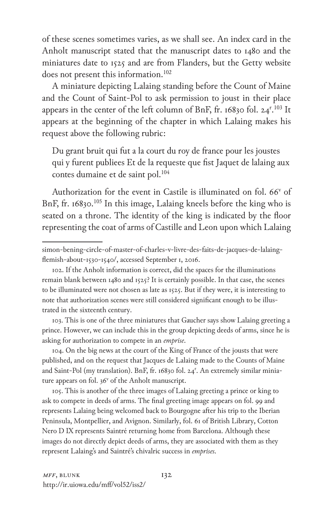of these scenes sometimes varies, as we shall see. An index card in the Anholt manuscript stated that the manuscript dates to 1480 and the miniatures date to 1525 and are from Flanders, but the Getty website does not present this information.<sup>102</sup>

A miniature depicting Lalaing standing before the Count of Maine and the Count of Saint-Pol to ask permission to joust in their place appears in the center of the left column of BnF, fr. 16830 fol. 24<sup>r</sup>.<sup>103</sup> It appears at the beginning of the chapter in which Lalaing makes his request above the following rubric:

Du grant bruit qui fut a la court du roy de france pour les joustes qui y furent publiees Et de la requeste que fist Jaquet de lalaing aux contes dumaine et de saint pol.104

Authorization for the event in Castile is illuminated on fol. 66<sup>v</sup> of BnF, fr. 16830.<sup>105</sup> In this image, Lalaing kneels before the king who is seated on a throne. The identity of the king is indicated by the floor representing the coat of arms of Castille and Leon upon which Lalaing

103. This is one of the three miniatures that Gaucher says show Lalaing greeting a prince. However, we can include this in the group depicting deeds of arms, since he is asking for authorization to compete in an *emprise*.

104. On the big news at the court of the King of France of the jousts that were published, and on the request that Jacques de Lalaing made to the Counts of Maine and Saint-Pol (my translation). BnF, fr. 16830 fol. 24<sup>r</sup>. An extremely similar miniature appears on fol. 36<sup>v</sup> of the Anholt manuscript.

105. This is another of the three images of Lalaing greeting a prince or king to ask to compete in deeds of arms. The final greeting image appears on fol. 99 and represents Lalaing being welcomed back to Bourgogne after his trip to the Iberian Peninsula, Montpellier, and Avignon. Similarly, fol. 61 of British Library, Cotton Nero D IX represents Saintré returning home from Barcelona. Although these images do not directly depict deeds of arms, they are associated with them as they represent Lalaing's and Saintré's chivalric success in *emprises*.

simon-bening-circle-of-master-of-charles-v-livre-des-faits-de-jacques-de-lalaingflemish-about-1530-1540/, accessed September 1, 2016.

<sup>102.</sup> If the Anholt information is correct, did the spaces for the illuminations remain blank between 1480 and 1525? It is certainly possible. In that case, the scenes to be illuminated were not chosen as late as 1525. But if they were, it is interesting to note that authorization scenes were still considered significant enough to be illustrated in the sixteenth century.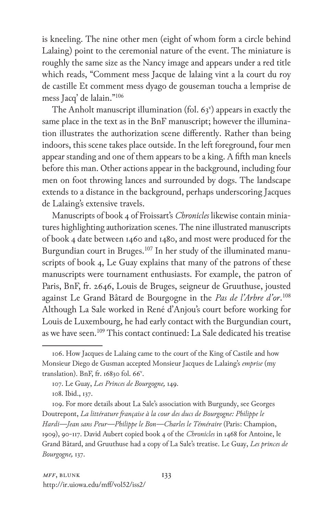is kneeling. The nine other men (eight of whom form a circle behind Lalaing) point to the ceremonial nature of the event. The miniature is roughly the same size as the Nancy image and appears under a red title which reads, "Comment mess Jacque de lalaing vint a la court du roy de castille Et comment mess dyago de gouseman toucha a lemprise de mess Jacq' de lalain."106

The Anholt manuscript illumination (fol.  $63<sup>v</sup>$ ) appears in exactly the same place in the text as in the BnF manuscript; however the illumination illustrates the authorization scene differently. Rather than being indoors, this scene takes place outside. In the left foreground, four men appear standing and one of them appears to be a king. A fifth man kneels before this man. Other actions appear in the background, including four men on foot throwing lances and surrounded by dogs. The landscape extends to a distance in the background, perhaps underscoring Jacques de Lalaing's extensive travels.

Manuscripts of book 4 of Froissart's *Chronicles* likewise contain miniatures highlighting authorization scenes. The nine illustrated manuscripts of book 4 date between 1460 and 1480, and most were produced for the Burgundian court in Bruges.<sup>107</sup> In her study of the illuminated manuscripts of book 4, Le Guay explains that many of the patrons of these manuscripts were tournament enthusiasts. For example, the patron of Paris, BnF, fr. 2646, Louis de Bruges, seigneur de Gruuthuse, jousted against Le Grand Bâtard de Bourgogne in the *Pas de l'Arbre d'or*. 108 Although La Sale worked in René d'Anjou's court before working for Louis de Luxembourg, he had early contact with the Burgundian court, as we have seen.<sup>109</sup> This contact continued: La Sale dedicated his treatise

<sup>106.</sup> How Jacques de Lalaing came to the court of the King of Castile and how Monsieur Diego de Gusman accepted Monsieur Jacques de Lalaing's *emprise* (my translation). BnF, fr. 16830 fol. 66<sup>v</sup>.

<sup>107.</sup> Le Guay, *Les Princes de Bourgogne,* 149.

<sup>108.</sup> Ibid., 137.

<sup>109.</sup> For more details about La Sale's association with Burgundy, see Georges Doutrepont, *La littérature française à la cour des ducs de Bourgogne: Philippe le Hardi—Jean sans Peur—Philippe le Bon—Charles le Téméraire* (Paris: Champion, 1909), 90-117. David Aubert copied book 4 of the *Chronicles* in 1468 for Antoine, le Grand Bâtard, and Gruuthuse had a copy of La Sale's treatise. Le Guay, *Les princes de Bourgogne,* 137.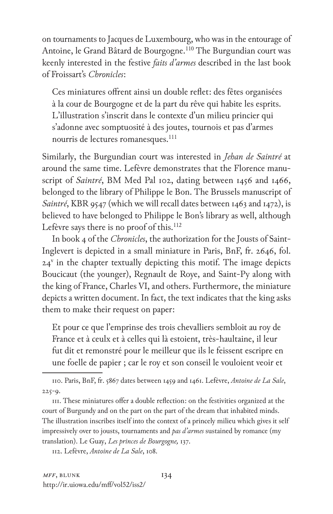on tournaments to Jacques de Luxembourg, who was in the entourage of Antoine, le Grand Bâtard de Bourgogne.<sup>110</sup> The Burgundian court was keenly interested in the festive *faits d'armes* described in the last book of Froissart's *Chronicles*:

Ces miniatures offrent ainsi un double reflet: des fêtes organisées à la cour de Bourgogne et de la part du rêve qui habite les esprits. L'illustration s'inscrit dans le contexte d'un milieu princier qui s'adonne avec somptuosité à des joutes, tournois et pas d'armes nourris de lectures romanesques.<sup>111</sup>

Similarly, the Burgundian court was interested in *Jehan de Saintré* at around the same time. Lefèvre demonstrates that the Florence manuscript of *Saintré*, BM Med Pal 102, dating between 1456 and 1466, belonged to the library of Philippe le Bon. The Brussels manuscript of *Saintré*, KBR 9547 (which we will recall dates between 1463 and 1472), is believed to have belonged to Philippe le Bon's library as well, although Lefèvre says there is no proof of this.<sup>112</sup>

In book 4 of the *Chronicles*, the authorization for the Jousts of Saint-Inglevert is depicted in a small miniature in Paris, BnF, fr. 2646, fol. 24<sup>v</sup> in the chapter textually depicting this motif. The image depicts Boucicaut (the younger), Regnault de Roye, and Saint-Py along with the king of France, Charles VI, and others. Furthermore, the miniature depicts a written document. In fact, the text indicates that the king asks them to make their request on paper:

Et pour ce que l'emprinse des trois chevalliers sembloit au roy de France et à ceulx et à celles qui là estoient, très-haultaine, il leur fut dit et remonstré pour le meilleur que ils le feissent escripre en une foelle de papier ; car le roy et son conseil le vouloient veoir et

112. Lefèvre, *Antoine de La Sale*, 108.

<sup>110.</sup> Paris, BnF, fr. 5867 dates between 1459 and 1461. Lefèvre, *Antoine de La Sale*, 225-9.

<sup>111.</sup> These miniatures offer a double reflection: on the festivities organized at the court of Burgundy and on the part on the part of the dream that inhabited minds. The illustration inscribes itself into the context of a princely milieu which gives it self impressively over to jousts, tournaments and *pas d'armes* sustained by romance (my translation). Le Guay, *Les princes de Bourgogne,* 137.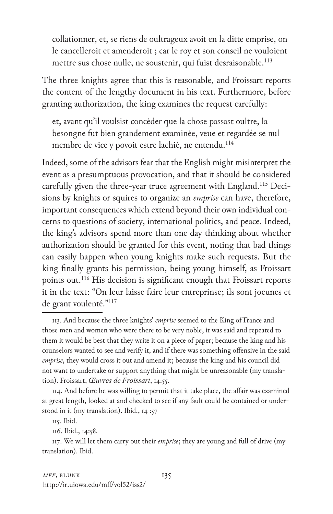collationner, et, se riens de oultrageux avoit en la ditte emprise, on le cancelleroit et amenderoit ; car le roy et son conseil ne vouloient mettre sus chose nulle, ne soustenir, qui fuist desraisonable.<sup>113</sup>

The three knights agree that this is reasonable, and Froissart reports the content of the lengthy document in his text. Furthermore, before granting authorization, the king examines the request carefully:

et, avant qu'il voulsist concéder que la chose passast oultre, la besongne fut bien grandement examinée, veue et regardée se nul membre de vice y povoit estre lachié, ne entendu.<sup>114</sup>

Indeed, some of the advisors fear that the English might misinterpret the event as a presumptuous provocation, and that it should be considered carefully given the three-year truce agreement with England.<sup>115</sup> Decisions by knights or squires to organize an *emprise* can have, therefore, important consequences which extend beyond their own individual concerns to questions of society, international politics, and peace. Indeed, the king's advisors spend more than one day thinking about whether authorization should be granted for this event, noting that bad things can easily happen when young knights make such requests. But the king finally grants his permission, being young himself, as Froissart points out.116 His decision is significant enough that Froissart reports it in the text: "On leur laisse faire leur entreprinse; ils sont joeunes et de grant voulenté."117

113. And because the three knights' *emprise* seemed to the King of France and those men and women who were there to be very noble, it was said and repeated to them it would be best that they write it on a piece of paper; because the king and his counselors wanted to see and verify it, and if there was something offensive in the said *emprise*, they would cross it out and amend it; because the king and his council did not want to undertake or support anything that might be unreasonable (my translation). Froissart, *Œuvres de Froissart*, 14:55.

114. And before he was willing to permit that it take place, the affair was examined at great length, looked at and checked to see if any fault could be contained or understood in it (my translation). Ibid., 14 :57

115. Ibid.

116. Ibid., 14:58.

117. We will let them carry out their *emprise*; they are young and full of drive (my translation). Ibid.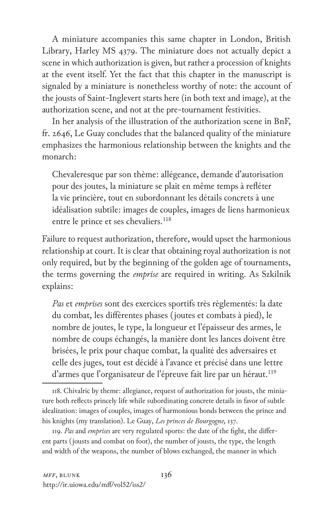A miniature accompanies this same chapter in London, British Library, Harley MS 4379. The miniature does not actually depict a scene in which authorization is given, but rather a procession of knights at the event itself. Yet the fact that this chapter in the manuscript is signaled by a miniature is nonetheless worthy of note: the account of the jousts of Saint-Inglevert starts here (in both text and image), at the authorization scene, and not at the pre-tournament festivities.

In her analysis of the illustration of the authorization scene in BnF, fr. 2646, Le Guay concludes that the balanced quality of the miniature emphasizes the harmonious relationship between the knights and the monarch:

Chevaleresque par son thème: allégeance, demande d'autorisation pour des joutes, la miniature se plait en même temps à refléter la vie princière, tout en subordonnant les détails concrets à une idéalisation subtile: images de couples, images de liens harmonieux entre le prince et ses chevaliers.<sup>118</sup>

Failure to request authorization, therefore, would upset the harmonious relationship at court. It is clear that obtaining royal authorization is not only required, but by the beginning of the golden age of tournaments, the terms governing the *emprise* are required in writing. As Szkilnik explains:

*Pas* et *emprises* sont des exercices sportifs très règlementés: la date du combat, les différentes phases (joutes et combats à pied), le nombre de joutes, le type, la longueur et l'épaisseur des armes, le nombre de coups échangés, la manière dont les lances doivent être brisées, le prix pour chaque combat, la qualité des adversaires et celle des juges, tout est décidé à l'avance et précisé dans une lettre d'armes que l'organisateur de l'épreuve fait lire par un héraut.<sup>119</sup>

118. Chivalric by theme: allegiance, request of authorization for jousts, the miniature both reflects princely life while subordinating concrete details in favor of subtle idealization: images of couples, images of harmonious bonds between the prince and his knights (my translation). Le Guay, *Les princes de Bourgogne,* 137.

119. *Pas* and *emprises* are very regulated sports: the date of the fight, the different parts (jousts and combat on foot), the number of jousts, the type, the length and width of the weapons, the number of blows exchanged, the manner in which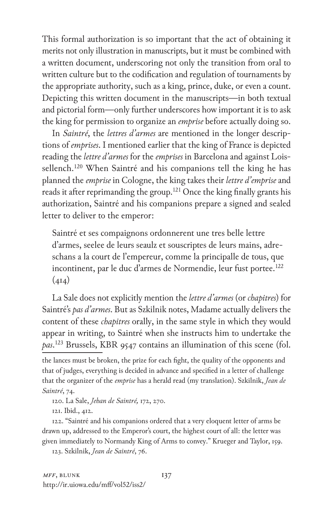This formal authorization is so important that the act of obtaining it merits not only illustration in manuscripts, but it must be combined with a written document, underscoring not only the transition from oral to written culture but to the codification and regulation of tournaments by the appropriate authority, such as a king, prince, duke, or even a count. Depicting this written document in the manuscripts—in both textual and pictorial form—only further underscores how important it is to ask the king for permission to organize an *emprise* before actually doing so.

In *Saintré*, the *lettres d'armes* are mentioned in the longer descriptions of *emprises*. I mentioned earlier that the king of France is depicted reading the *lettre d'armes* for the *emprises* in Barcelona and against Loissellench.<sup>120</sup> When Saintré and his companions tell the king he has planned the *emprise* in Cologne, the king takes their *lettre d'emprise* and reads it after reprimanding the group.<sup>121</sup> Once the king finally grants his authorization, Saintré and his companions prepare a signed and sealed letter to deliver to the emperor:

Saintré et ses compaignons ordonnerent une tres belle lettre d'armes, seelee de leurs seaulz et souscriptes de leurs mains, adreschans a la court de l'empereur, comme la principalle de tous, que incontinent, par le duc d'armes de Normendie, leur fust portee.<sup>122</sup>  $(414)$ 

La Sale does not explicitly mention the *lettre d'armes* (or *chapitres*) for Saintré's *pas d'armes*. But as Szkilnik notes, Madame actually delivers the content of these *chapitres* orally, in the same style in which they would appear in writing, to Saintré when she instructs him to undertake the *pas*. 123 Brussels, KBR 9547 contains an illumination of this scene (fol.

120. La Sale, *Jehan de Saintré,* 172, 270.

121. Ibid., 412.

122. "Saintré and his companions ordered that a very eloquent letter of arms be drawn up, addressed to the Emperor's court, the highest court of all: the letter was given immediately to Normandy King of Arms to convey." Krueger and Taylor, 159.

123. Szkilnik, *Jean de Saintré*, 76.

the lances must be broken, the prize for each fight, the quality of the opponents and that of judges, everything is decided in advance and specified in a letter of challenge that the organizer of the *emprise* has a herald read (my translation). Szkilnik, *Jean de Saintré*, 74.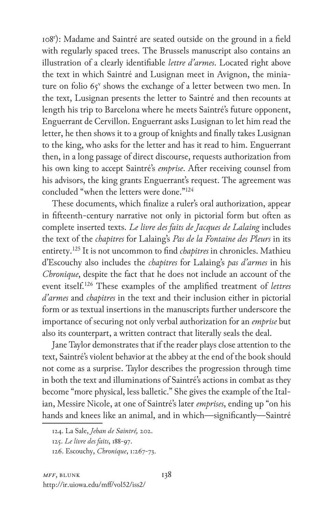108r ): Madame and Saintré are seated outside on the ground in a field with regularly spaced trees. The Brussels manuscript also contains an illustration of a clearly identifiable *lettre d'armes*. Located right above the text in which Saintré and Lusignan meet in Avignon, the miniature on folio  $65^v$  shows the exchange of a letter between two men. In the text, Lusignan presents the letter to Saintré and then recounts at length his trip to Barcelona where he meets Saintré's future opponent, Enguerrant de Cervillon. Enguerrant asks Lusignan to let him read the letter, he then shows it to a group of knights and finally takes Lusignan to the king, who asks for the letter and has it read to him. Enguerrant then, in a long passage of direct discourse, requests authorization from his own king to accept Saintré's *emprise*. After receiving counsel from his advisors, the king grants Enguerrant's request. The agreement was concluded "when the letters were done."124

These documents, which finalize a ruler's oral authorization, appear in fifteenth-century narrative not only in pictorial form but often as complete inserted texts. *Le livre des faits de Jacques de Lalaing* includes the text of the *chapitres* for Lalaing's *Pas de la Fontaine des Pleurs* in its entirety.125 It is not uncommon to find *chapitres* in chronicles. Mathieu d'Escouchy also includes the *chapitres* for Lalaing's *pas d'armes* in his *Chronique*, despite the fact that he does not include an account of the event itself.126 These examples of the amplified treatment of *lettres d'armes* and *chapitres* in the text and their inclusion either in pictorial form or as textual insertions in the manuscripts further underscore the importance of securing not only verbal authorization for an *emprise* but also its counterpart, a written contract that literally seals the deal.

Jane Taylor demonstrates that if the reader plays close attention to the text, Saintré's violent behavior at the abbey at the end of the book should not come as a surprise. Taylor describes the progression through time in both the text and illuminations of Saintré's actions in combat as they become "more physical, less balletic." She gives the example of the Italian, Messire Nicole, at one of Saintré's later *emprises*, ending up "on his hands and knees like an animal, and in which—significantly—Saintré

<sup>124.</sup> La Sale, *Jehan de Saintré,* 202.

<sup>125.</sup> *Le livre des faits*, 188-97.

<sup>126.</sup> Escouchy, *Chronique*, 1:267-73.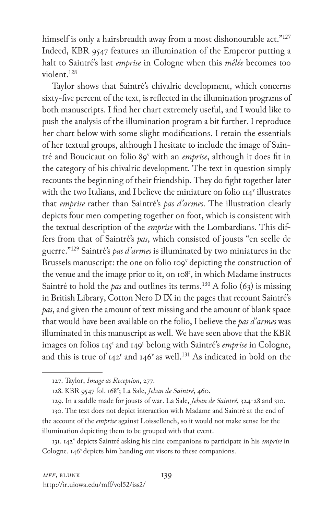himself is only a hairsbreadth away from a most dishonourable act."<sup>127</sup> Indeed, KBR 9547 features an illumination of the Emperor putting a halt to Saintré's last *emprise* in Cologne when this *mêlée* becomes too violent.128

Taylor shows that Saintré's chivalric development, which concerns sixty-five percent of the text, is reflected in the illumination programs of both manuscripts. I find her chart extremely useful, and I would like to push the analysis of the illumination program a bit further. I reproduce her chart below with some slight modifications. I retain the essentials of her textual groups, although I hesitate to include the image of Saintré and Boucicaut on folio 89<sup>v</sup> with an *emprise*, although it does fit in the category of his chivalric development. The text in question simply recounts the beginning of their friendship. They do fight together later with the two Italians, and I believe the miniature on folio  $II4^v$  illustrates that *emprise* rather than Saintré's *pas d'armes*. The illustration clearly depicts four men competing together on foot, which is consistent with the textual description of the *emprise* with the Lombardians. This differs from that of Saintré's *pas*, which consisted of jousts "en seelle de guerre."129 Saintré's *pas d'armes* is illuminated by two miniatures in the Brussels manuscript: the one on folio 109<sup>v</sup> depicting the construction of the venue and the image prior to it, on 108<sup>r</sup>, in which Madame instructs Saintré to hold the *pas* and outlines its terms.<sup>130</sup> A folio (63) is missing in British Library, Cotton Nero D IX in the pages that recount Saintré's *pas*, and given the amount of text missing and the amount of blank space that would have been available on the folio, I believe the *pas d'armes* was illuminated in this manuscript as well. We have seen above that the KBR images on folios 145<sup>r</sup> and 149<sup>r</sup> belong with Saintré's *emprise* in Cologne, and this is true of 142<sup>r</sup> and 146<sup>v</sup> as well.<sup>131</sup> As indicated in bold on the

<sup>127.</sup> Taylor, *Image as Reception*, 277.

<sup>128.</sup> KBR 9547 fol. 168r ; La Sale, *Jehan de Saintré*, 460.

<sup>129.</sup> In a saddle made for jousts of war. La Sale, *Jehan de Saintré*, 324-28 and 310.

<sup>130.</sup> The text does not depict interaction with Madame and Saintré at the end of the account of the *emprise* against Loissellench, so it would not make sense for the illumination depicting them to be grouped with that event.

<sup>131. 142&</sup>lt;sup>v</sup> depicts Saintré asking his nine companions to participate in his emprise in Cologne.  $146^{\nu}$  depicts him handing out visors to these companions.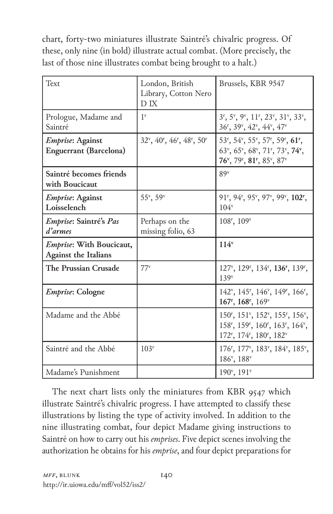chart, forty-two miniatures illustrate Saintré's chivalric progress. Of these, only nine (in bold) illustrate actual combat. (More precisely, the last of those nine illustrates combat being brought to a halt.)

| Text                                                    | London, British<br>Library, Cotton Nero<br>D IX                | Brussels, KBR 9547                                                                                                                                                                                                                                                                                                    |
|---------------------------------------------------------|----------------------------------------------------------------|-----------------------------------------------------------------------------------------------------------------------------------------------------------------------------------------------------------------------------------------------------------------------------------------------------------------------|
| Prologue, Madame and<br>Saintré                         | 1 <sup>r</sup>                                                 | 3 <sup>r</sup> , 5 <sup>v</sup> , 9 <sup>v</sup> , 11 <sup>r</sup> , 23 <sup>v</sup> , 31 <sup>v</sup> , 33 <sup>v</sup> ,<br>36 <sup>r</sup> , 39 <sup>v</sup> , 42 <sup>v</sup> , 44 <sup>v</sup> , 47 <sup>v</sup>                                                                                                 |
| Emprise: Against<br><b>Enguerrant</b> (Barcelona)       | $32^{\nu}$ , $40^{\nu}$ , $46^{\nu}$ , $48^{\nu}$ , $50^{\nu}$ | 53 <sup>r</sup> , 54 <sup>v</sup> , 55 <sup>v</sup> , 57 <sup>r</sup> , 59 <sup>r</sup> , 61 <sup>r</sup> ,<br>63 <sup>v</sup> , 65 <sup>v</sup> , 68 <sup>v</sup> , 71 <sup>r</sup> , 73 <sup>v</sup> , 74 <sup>v</sup> ,<br>76 <sup>v</sup> , 79 <sup>r</sup> , 81 <sup>r</sup> , 85 <sup>v</sup> , 87 <sup>v</sup> |
| Saintré becomes friends<br>with Boucicaut               |                                                                | 89 <sup>v</sup>                                                                                                                                                                                                                                                                                                       |
| <i>Emprise</i> : Against<br>Loisselench                 | 55°, 59°                                                       | 91 <sup>r</sup> , 94 <sup>r</sup> , 95 <sup>v</sup> , 97 <sup>v</sup> , 99 <sup>v</sup> , 102 <sup>r</sup> ,<br>$104^v$                                                                                                                                                                                               |
| Emprise: Saintré's Pas<br>d'armes                       | Perhaps on the<br>missing folio, 63                            | 108 <sup>r</sup> , 109 <sup>v</sup>                                                                                                                                                                                                                                                                                   |
| Emprise: With Boucicaut,<br><b>Against the Italians</b> |                                                                | $114^v$                                                                                                                                                                                                                                                                                                               |
| The Prussian Crusade                                    | $77^v$                                                         | 127 <sup>v</sup> , 129 <sup>r</sup> , 134 <sup>r</sup> , 136 <sup>r</sup> , 139 <sup>r</sup> ,<br>139 <sup>v</sup>                                                                                                                                                                                                    |
| <i>Emprise</i> : Cologne                                |                                                                | 142 <sup>v</sup> , 145 <sup>r</sup> , 146 <sup>v</sup> , 149 <sup>r</sup> , 166 <sup>r</sup> ,<br>167 <sup>r</sup> , 168 <sup>r</sup> , 169 <sup>v</sup>                                                                                                                                                              |
| Madame and the Abbé                                     |                                                                | 150 <sup>r</sup> , 151 <sup>v</sup> , 152 <sup>v</sup> , 155 <sup>r</sup> , 156 <sup>v</sup> ,<br>158 <sup>r</sup> , 159 <sup>r</sup> , 160 <sup>r</sup> , 163 <sup>r</sup> , 164 <sup>v</sup> ,<br>172 <sup>r</sup> , 174 <sup>r</sup> , 180 <sup>r</sup> , 182 <sup>v</sup>                                         |
| Saintré and the Abbé                                    | 103 <sup>r</sup>                                               | 176 <sup>r</sup> , 177 <sup>v</sup> , 183 <sup>v</sup> , 184 <sup>v</sup> , 185 <sup>v</sup> ,<br>186 <sup>v</sup> , 188 <sup>v</sup>                                                                                                                                                                                 |
| Madame's Punishment                                     |                                                                | $190^{\circ}, 191^{\circ}$                                                                                                                                                                                                                                                                                            |

The next chart lists only the miniatures from KBR 9547 which illustrate Saintré's chivalric progress. I have attempted to classify these illustrations by listing the type of activity involved. In addition to the nine illustrating combat, four depict Madame giving instructions to Saintré on how to carry out his *emprises*. Five depict scenes involving the authorization he obtains for his *emprise*, and four depict preparations for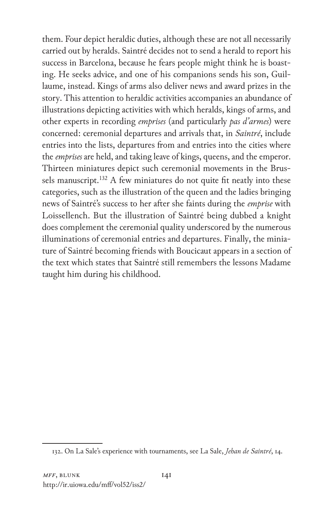them. Four depict heraldic duties, although these are not all necessarily carried out by heralds. Saintré decides not to send a herald to report his success in Barcelona, because he fears people might think he is boasting. He seeks advice, and one of his companions sends his son, Guillaume, instead. Kings of arms also deliver news and award prizes in the story. This attention to heraldic activities accompanies an abundance of illustrations depicting activities with which heralds, kings of arms, and other experts in recording *emprises* (and particularly *pas d'armes*) were concerned: ceremonial departures and arrivals that, in *Saintré*, include entries into the lists, departures from and entries into the cities where the *emprises* are held, and taking leave of kings, queens, and the emperor. Thirteen miniatures depict such ceremonial movements in the Brussels manuscript.<sup>132</sup> A few miniatures do not quite fit neatly into these categories, such as the illustration of the queen and the ladies bringing news of Saintré's success to her after she faints during the *emprise* with Loissellench. But the illustration of Saintré being dubbed a knight does complement the ceremonial quality underscored by the numerous illuminations of ceremonial entries and departures. Finally, the miniature of Saintré becoming friends with Boucicaut appears in a section of the text which states that Saintré still remembers the lessons Madame taught him during his childhood.

<sup>132.</sup> On La Sale's experience with tournaments, see La Sale, *Jehan de Saintré*, 14.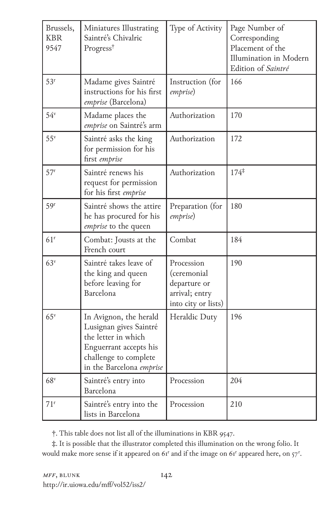| Brussels,<br><b>KBR</b><br>9547 | Miniatures Illustrating<br>Saintré's Chivalric<br>Progress <sup>†</sup>                                                                                | Type of Activity                                                                   | Page Number of<br>Corresponding<br>Placement of the<br>Illumination in Modern<br>Edition of Saintré |
|---------------------------------|--------------------------------------------------------------------------------------------------------------------------------------------------------|------------------------------------------------------------------------------------|-----------------------------------------------------------------------------------------------------|
| 53 <sup>r</sup>                 | Madame gives Saintré<br>instructions for his first<br>emprise (Barcelona)                                                                              | Instruction (for<br>emprise)                                                       | 166                                                                                                 |
| $54^v$                          | Madame places the<br>emprise on Saintré's arm                                                                                                          | Authorization                                                                      | 170                                                                                                 |
| $55^{\rm v}$                    | Saintré asks the king<br>for permission for his<br>first emprise                                                                                       | Authorization                                                                      | 172                                                                                                 |
| 57 <sup>r</sup>                 | Saintré renews his<br>request for permission<br>for his first emprise                                                                                  | Authorization                                                                      | $174*$                                                                                              |
| 59 <sup>r</sup>                 | Saintré shows the attire<br>he has procured for his<br>emprise to the queen                                                                            | Preparation (for<br>emprise)                                                       | 180                                                                                                 |
| 61 <sup>r</sup>                 | Combat: Jousts at the<br>French court                                                                                                                  | Combat                                                                             | 184                                                                                                 |
| 63 <sup>v</sup>                 | Saintré takes leave of<br>the king and queen<br>before leaving for<br>Barcelona                                                                        | Procession<br>(ceremonial<br>departure or<br>arrival; entry<br>into city or lists) | 190                                                                                                 |
| $65^{\rm v}$                    | In Avignon, the herald<br>Lusignan gives Saintré<br>the letter in which<br>Enguerrant accepts his<br>challenge to complete<br>in the Barcelona emprise | Heraldic Duty                                                                      | 196                                                                                                 |
| 68 <sup>v</sup>                 | Saintré's entry into<br>Barcelona                                                                                                                      | Procession                                                                         | 204                                                                                                 |
| $71$ <sup>r</sup>               | Saintré's entry into the<br>lists in Barcelona                                                                                                         | Procession                                                                         | 210                                                                                                 |

†. This table does not list all of the illuminations in KBR 9547.

‡. It is possible that the illustrator completed this illumination on the wrong folio. It would make more sense if it appeared on  $6r^r$  and if the image on  $6r^r$  appeared here, on  $57^r$ .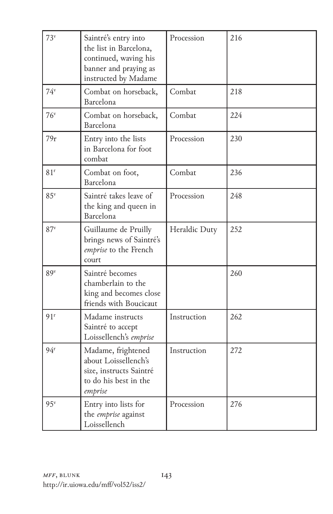| 73 <sup>v</sup> | Saintré's entry into<br>the list in Barcelona,<br>continued, waving his<br>banner and praying as<br>instructed by Madame | Procession    | 216 |
|-----------------|--------------------------------------------------------------------------------------------------------------------------|---------------|-----|
| $74^v$          | Combat on horseback,<br>Barcelona                                                                                        | Combat        | 218 |
| $76^v$          | Combat on horseback,<br>Barcelona                                                                                        | Combat        | 224 |
| 79r             | Entry into the lists<br>in Barcelona for foot<br>combat                                                                  | Procession    | 230 |
| 81 <sup>r</sup> | Combat on foot,<br>Barcelona                                                                                             | Combat        | 236 |
| 85 <sup>v</sup> | Saintré takes leave of<br>the king and queen in<br>Barcelona                                                             | Procession    | 248 |
| 87 <sup>v</sup> | Guillaume de Pruilly<br>brings news of Saintré's<br>emprise to the French<br>court                                       | Heraldic Duty | 252 |
| 89 <sup>v</sup> | Saintré becomes<br>chamberlain to the<br>king and becomes close<br>friends with Boucicaut                                |               | 260 |
| 91r             | Madame instructs<br>Saintré to accept<br>Loissellench's emprise                                                          | Instruction   | 262 |
| 94 <sup>r</sup> | Madame, frightened<br>about Loissellench's<br>size, instructs Saintré<br>to do his best in the<br>emprise                | Instruction   | 272 |
| $95^v$          | Entry into lists for<br>the emprise against<br>Loissellench                                                              | Procession    | 276 |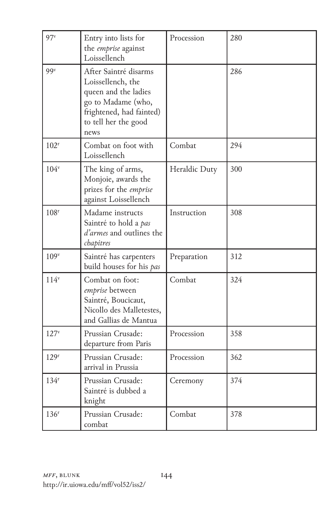| $97^v$           | Entry into lists for<br>the <i>emprise</i> against<br>Loissellench                                                                                   | Procession    | 280 |
|------------------|------------------------------------------------------------------------------------------------------------------------------------------------------|---------------|-----|
| 99 <sup>v</sup>  | After Saintré disarms<br>Loissellench, the<br>queen and the ladies<br>go to Madame (who,<br>frightened, had fainted)<br>to tell her the good<br>news |               | 286 |
| 102 <sup>r</sup> | Combat on foot with<br>Loissellench                                                                                                                  | Combat        | 294 |
| $104^v$          | The king of arms,<br>Monjoie, awards the<br>prizes for the emprise<br>against Loissellench                                                           | Heraldic Duty | 300 |
| 108 <sup>r</sup> | Madame instructs<br>Saintré to hold a pas<br>d'armes and outlines the<br>chapitres                                                                   | Instruction   | 308 |
| 109 <sup>v</sup> | Saintré has carpenters<br>build houses for his pas                                                                                                   | Preparation   | 312 |
| $114^v$          | Combat on foot:<br>emprise between<br>Saintré, Boucicaut,<br>Nicollo des Malletestes,<br>and Gallias de Mantua                                       | Combat        | 324 |
| 127 <sup>v</sup> | Prussian Crusade:<br>departure from Paris                                                                                                            | Procession    | 358 |
| 129 <sup>r</sup> | Prussian Crusade:<br>arrival in Prussia                                                                                                              | Procession    | 362 |
| 134 <sup>r</sup> | Prussian Crusade:<br>Saintré is dubbed a<br>knight                                                                                                   | Ceremony      | 374 |
| 136 <sup>r</sup> | Prussian Crusade:<br>combat                                                                                                                          | Combat        | 378 |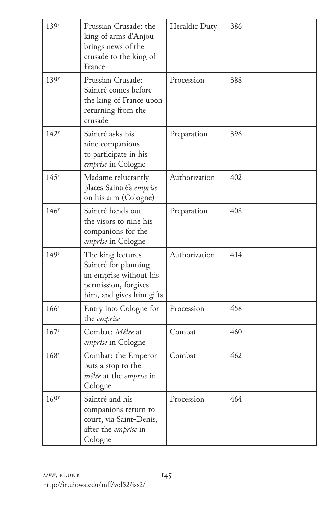| 139 <sup>r</sup> | Prussian Crusade: the<br>king of arms d'Anjou<br>brings news of the<br>crusade to the king of<br>France                 | Heraldic Duty | 386 |
|------------------|-------------------------------------------------------------------------------------------------------------------------|---------------|-----|
| 139 <sup>v</sup> | Prussian Crusade:<br>Saintré comes before<br>the king of France upon<br>returning from the<br>crusade                   | Procession    | 388 |
| $142^v$          | Saintré asks his<br>nine companions<br>to participate in his<br>emprise in Cologne                                      | Preparation   | 396 |
| 145 <sup>r</sup> | Madame reluctantly<br>places Saintré's emprise<br>on his arm (Cologne)                                                  | Authorization | 402 |
| 146 <sup>v</sup> | Saintré hands out<br>the visors to nine his<br>companions for the<br>emprise in Cologne                                 | Preparation   | 408 |
| 149 <sup>r</sup> | The king lectures<br>Saintré for planning<br>an emprise without his<br>permission, forgives<br>him, and gives him gifts | Authorization | 414 |
| 166 <sup>r</sup> | Entry into Cologne for<br>the emprise                                                                                   | Procession    | 458 |
| 167 <sup>r</sup> | Combat: Mêlée at<br>emprise in Cologne                                                                                  | Combat        | 460 |
| 168 <sup>r</sup> | Combat: the Emperor<br>puts a stop to the<br>mêlée at the emprise in<br>Cologne                                         | Combat        | 462 |
| 169 <sup>v</sup> | Saintré and his<br>companions return to<br>court, via Saint-Denis,<br>after the emprise in<br>Cologne                   | Procession    | 464 |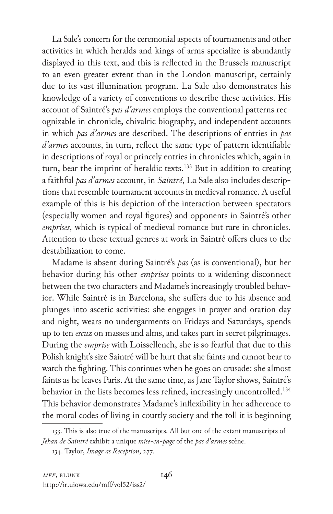La Sale's concern for the ceremonial aspects of tournaments and other activities in which heralds and kings of arms specialize is abundantly displayed in this text, and this is reflected in the Brussels manuscript to an even greater extent than in the London manuscript, certainly due to its vast illumination program. La Sale also demonstrates his knowledge of a variety of conventions to describe these activities. His account of Saintré's *pas d'armes* employs the conventional patterns recognizable in chronicle, chivalric biography, and independent accounts in which *pas d'armes* are described. The descriptions of entries in *pas d'armes* accounts, in turn, reflect the same type of pattern identifiable in descriptions of royal or princely entries in chronicles which, again in turn, bear the imprint of heraldic texts.<sup>133</sup> But in addition to creating a faithful *pas d'armes* account, in *Saintré*, La Sale also includes descriptions that resemble tournament accounts in medieval romance. A useful example of this is his depiction of the interaction between spectators (especially women and royal figures) and opponents in Saintré's other *emprises*, which is typical of medieval romance but rare in chronicles. Attention to these textual genres at work in Saintré offers clues to the destabilization to come.

Madame is absent during Saintré's *pas* (as is conventional), but her behavior during his other *emprises* points to a widening disconnect between the two characters and Madame's increasingly troubled behavior. While Saintré is in Barcelona, she suffers due to his absence and plunges into ascetic activities: she engages in prayer and oration day and night, wears no undergarments on Fridays and Saturdays, spends up to ten *escuz* on masses and alms, and takes part in secret pilgrimages. During the *emprise* with Loissellench, she is so fearful that due to this Polish knight's size Saintré will be hurt that she faints and cannot bear to watch the fighting. This continues when he goes on crusade: she almost faints as he leaves Paris. At the same time, as Jane Taylor shows, Saintré's behavior in the lists becomes less refined, increasingly uncontrolled.<sup>134</sup> This behavior demonstrates Madame's inflexibility in her adherence to the moral codes of living in courtly society and the toll it is beginning

<sup>133.</sup> This is also true of the manuscripts. All but one of the extant manuscripts of *Jehan de Saintré* exhibit a unique *mise-en-page* of the *pas d'armes* scène.

<sup>134.</sup> Taylor, *Image as Reception*, 277.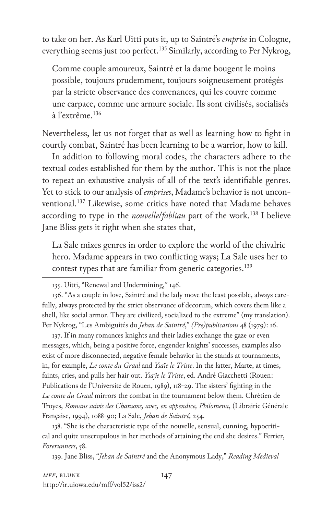to take on her. As Karl Uitti puts it, up to Saintré's *emprise* in Cologne, everything seems just too perfect.<sup>135</sup> Similarly, according to Per Nykrog,

Comme couple amoureux, Saintré et la dame bougent le moins possible, toujours prudemment, toujours soigneusement protégés par la stricte observance des convenances, qui les couvre comme une carpace, comme une armure sociale. Ils sont civilisés, socialisés à l'extrême.136

Nevertheless, let us not forget that as well as learning how to fight in courtly combat, Saintré has been learning to be a warrior, how to kill.

In addition to following moral codes, the characters adhere to the textual codes established for them by the author. This is not the place to repeat an exhaustive analysis of all of the text's identifiable genres. Yet to stick to our analysis of *emprises*, Madame's behavior is not unconventional.<sup>137</sup> Likewise, some critics have noted that Madame behaves according to type in the *nouvelle*/*fabliau* part of the work.138 I believe Jane Bliss gets it right when she states that,

La Sale mixes genres in order to explore the world of the chivalric hero. Madame appears in two conflicting ways; La Sale uses her to contest types that are familiar from generic categories.139

136. "As a couple in love, Saintré and the lady move the least possible, always carefully, always protected by the strict observance of decorum, which covers them like a shell, like social armor. They are civilized, socialized to the extreme" (my translation). Per Nykrog, "Les Ambiguités du *Jehan de Saintré*," *(Pre)publications* 48 (1979): 16.

137. If in many romances knights and their ladies exchange the gaze or even messages, which, being a positive force, engender knights' successes, examples also exist of more disconnected, negative female behavior in the stands at tournaments, in, for example, *Le conte du Graal* and *Ysaïe le Triste*. In the latter, Marte, at times, faints, cries, and pulls her hair out. *Ysaÿe le Triste*, ed. André Giacchetti (Rouen: Publications de l'Université de Rouen, 1989), 118-29. The sisters' fighting in the *Le conte du Graal* mirrors the combat in the tournament below them. Chrétien de Troyes, *Romans suivis des Chansons, avec, en appendice, Philomena*, (Librairie Générale Française, 1994), 1088-90; La Sale, *Jehan de Saintré,* 254.

138. "She is the characteristic type of the nouvelle, sensual, cunning, hypocritical and quite unscrupulous in her methods of attaining the end she desires." Ferrier, *Forerunners*, 58.

139. Jane Bliss, "*Jehan de Saintré* and the Anonymous Lady," *Reading Medieval* 

*MFF*, BLUNK 147 http://ir.uiowa.edu/mff/vol52/iss2/

<sup>135.</sup> Uitti, "Renewal and Undermining," 146.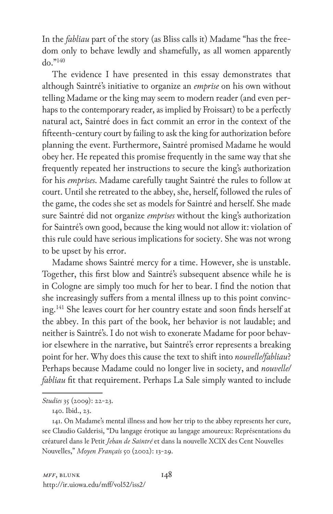In the *fabliau* part of the story (as Bliss calls it) Madame "has the freedom only to behave lewdly and shamefully, as all women apparently do."140

The evidence I have presented in this essay demonstrates that although Saintré's initiative to organize an *emprise* on his own without telling Madame or the king may seem to modern reader (and even perhaps to the contemporary reader, as implied by Froissart) to be a perfectly natural act, Saintré does in fact commit an error in the context of the fifteenth-century court by failing to ask the king for authorization before planning the event. Furthermore, Saintré promised Madame he would obey her. He repeated this promise frequently in the same way that she frequently repeated her instructions to secure the king's authorization for his *emprises*. Madame carefully taught Saintré the rules to follow at court. Until she retreated to the abbey, she, herself, followed the rules of the game, the codes she set as models for Saintré and herself. She made sure Saintré did not organize *emprises* without the king's authorization for Saintré's own good, because the king would not allow it: violation of this rule could have serious implications for society. She was not wrong to be upset by his error.

Madame shows Saintré mercy for a time. However, she is unstable. Together, this first blow and Saintré's subsequent absence while he is in Cologne are simply too much for her to bear. I find the notion that she increasingly suffers from a mental illness up to this point convincing.141 She leaves court for her country estate and soon finds herself at the abbey. In this part of the book, her behavior is not laudable; and neither is Saintré's. I do not wish to exonerate Madame for poor behavior elsewhere in the narrative, but Saintré's error represents a breaking point for her. Why does this cause the text to shift into *nouvelle/fabliau*? Perhaps because Madame could no longer live in society, and *nouvelle/ fabliau* fit that requirement. Perhaps La Sale simply wanted to include

*Studies* 35 (2009): 22-23.

<sup>140.</sup> Ibid., 23.

<sup>141.</sup> On Madame's mental illness and how her trip to the abbey represents her cure, see Claudio Galderisi, "Du langage érotique au langage amoureux: Représentations du créaturel dans le Petit *Jehan de Saintré* et dans la nouvelle XCIX des Cent Nouvelles Nouvelles," *Moyen Français* 50 (2002): 13-29.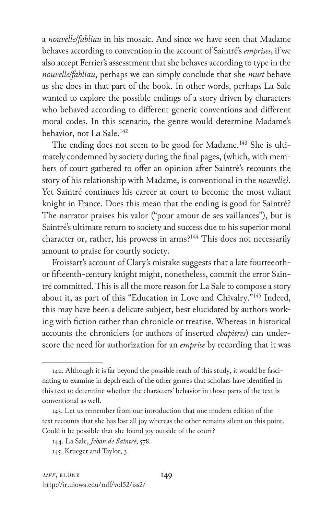a *nouvelle/fabliau* in his mosaic. And since we have seen that Madame behaves according to convention in the account of Saintré's *emprises*, if we also accept Ferrier's assesstment that she behaves according to type in the *nouvelle/fabliau*, perhaps we can simply conclude that she *must* behave as she does in that part of the book. In other words, perhaps La Sale wanted to explore the possible endings of a story driven by characters who behaved according to different generic conventions and different moral codes. In this scenario, the genre would determine Madame's behavior, not La Sale.<sup>142</sup>

The ending does not seem to be good for Madame.<sup>143</sup> She is ultimately condemned by society during the final pages, (which, with members of court gathered to offer an opinion after Saintré's recounts the story of his relationship with Madame, is conventional in the *nouvelle)*. Yet Saintré continues his career at court to become the most valiant knight in France. Does this mean that the ending is good for Saintré? The narrator praises his valor ("pour amour de ses vaillances"), but is Saintré's ultimate return to society and success due to his superior moral character or, rather, his prowess in arms?<sup>144</sup> This does not necessarily amount to praise for courtly society.

Froissart's account of Clary's mistake suggests that a late fourteenthor fifteenth-century knight might, nonetheless, commit the error Saintré committed. This is all the more reason for La Sale to compose a story about it, as part of this "Education in Love and Chivalry."145 Indeed, this may have been a delicate subject, best elucidated by authors working with fiction rather than chronicle or treatise. Whereas in historical accounts the chroniclers (or authors of inserted *chapitres*) can underscore the need for authorization for an *emprise* by recording that it was

<sup>142.</sup> Although it is far beyond the possible reach of this study, it would be fascinating to examine in depth each of the other genres that scholars have identified in this text to determine whether the characters' behavior in those parts of the text is conventional as well.

<sup>143.</sup> Let us remember from our introduction that one modern edition of the text recounts that she has lost all joy whereas the other remains silent on this point. Could it be possible that she found joy outside of the court?

<sup>144.</sup> La Sale, *Jehan de Saintré*, 578.

<sup>145.</sup> Krueger and Taylor, 3.